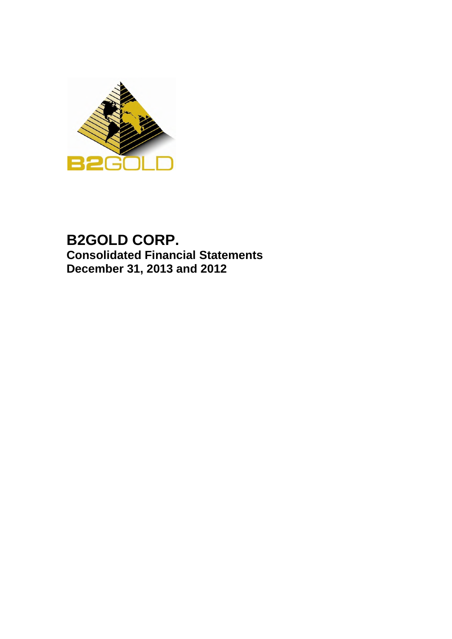

# **B2GOLD CORP. Consolidated Financial Statements December 31, 2013 and 2012**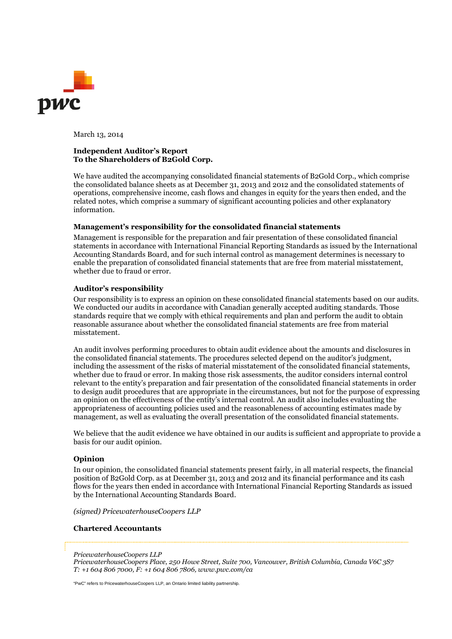

March 13, 2014

### **Independent Auditor's Report To the Shareholders of B2Gold Corp.**

We have audited the accompanying consolidated financial statements of B2Gold Corp., which comprise the consolidated balance sheets as at December 31, 2013 and 2012 and the consolidated statements of operations, comprehensive income, cash flows and changes in equity for the years then ended, and the related notes, which comprise a summary of significant accounting policies and other explanatory information.

### **Management's responsibility for the consolidated financial statements**

Management is responsible for the preparation and fair presentation of these consolidated financial statements in accordance with International Financial Reporting Standards as issued by the International Accounting Standards Board, and for such internal control as management determines is necessary to enable the preparation of consolidated financial statements that are free from material misstatement, whether due to fraud or error.

### **Auditor's responsibility**

Our responsibility is to express an opinion on these consolidated financial statements based on our audits. We conducted our audits in accordance with Canadian generally accepted auditing standards. Those standards require that we comply with ethical requirements and plan and perform the audit to obtain reasonable assurance about whether the consolidated financial statements are free from material misstatement.

An audit involves performing procedures to obtain audit evidence about the amounts and disclosures in the consolidated financial statements. The procedures selected depend on the auditor's judgment, including the assessment of the risks of material misstatement of the consolidated financial statements, whether due to fraud or error. In making those risk assessments, the auditor considers internal control relevant to the entity's preparation and fair presentation of the consolidated financial statements in order to design audit procedures that are appropriate in the circumstances, but not for the purpose of expressing an opinion on the effectiveness of the entity's internal control. An audit also includes evaluating the appropriateness of accounting policies used and the reasonableness of accounting estimates made by management, as well as evaluating the overall presentation of the consolidated financial statements.

We believe that the audit evidence we have obtained in our audits is sufficient and appropriate to provide a basis for our audit opinion.

### **Opinion**

In our opinion, the consolidated financial statements present fairly, in all material respects, the financial position of B2Gold Corp. as at December 31, 2013 and 2012 and its financial performance and its cash flows for the years then ended in accordance with International Financial Reporting Standards as issued by the International Accounting Standards Board.

*(signed) PricewaterhouseCoopers LLP*

### **Chartered Accountants**

*PricewaterhouseCoopers LLP*

*PricewaterhouseCoopers Place, 250 Howe Street, Suite 700, Vancouver, British Columbia, Canada V6C 3S7 T: +1 604 806 7000, F: +1 604 806 7806, www.pwc.com/ca*

"PwC" refers to PricewaterhouseCoopers LLP, an Ontario limited liability partnership.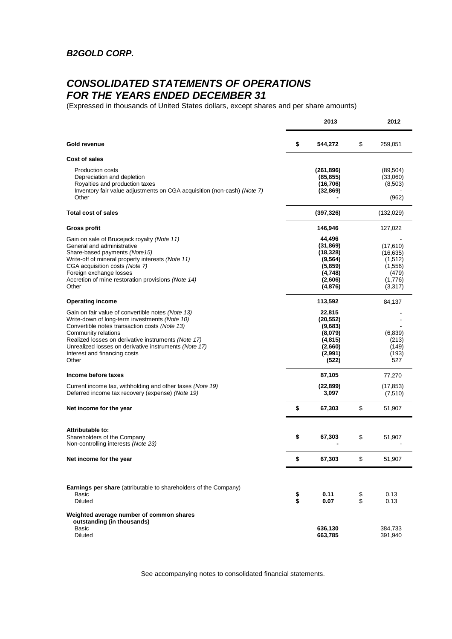# *CONSOLIDATED STATEMENTS OF OPERATIONS FOR THE YEARS ENDED DECEMBER 31*

(Expressed in thousands of United States dollars, except shares and per share amounts)

|                                                                                                                                                                                                                                                                                                                                     |          | 2013                                                                                     |          | 2012                                                                       |
|-------------------------------------------------------------------------------------------------------------------------------------------------------------------------------------------------------------------------------------------------------------------------------------------------------------------------------------|----------|------------------------------------------------------------------------------------------|----------|----------------------------------------------------------------------------|
| Gold revenue                                                                                                                                                                                                                                                                                                                        | \$       | 544,272                                                                                  | \$       | 259,051                                                                    |
| Cost of sales                                                                                                                                                                                                                                                                                                                       |          |                                                                                          |          |                                                                            |
| <b>Production costs</b><br>Depreciation and depletion<br>Royalties and production taxes<br>Inventory fair value adjustments on CGA acquisition (non-cash) (Note 7)<br>Other                                                                                                                                                         |          | (261, 896)<br>(85, 855)<br>(16,706)<br>(32, 869)                                         |          | (89, 504)<br>(33,060)<br>(8,503)<br>(962)                                  |
| <b>Total cost of sales</b>                                                                                                                                                                                                                                                                                                          |          | (397, 326)                                                                               |          | (132,029)                                                                  |
| Gross profit                                                                                                                                                                                                                                                                                                                        |          | 146,946                                                                                  |          | 127,022                                                                    |
| Gain on sale of Brucejack royalty (Note 11)<br>General and administrative<br>Share-based payments (Note15)<br>Write-off of mineral property interests (Note 11)<br>CGA acquisition costs (Note 7)<br>Foreign exchange losses<br>Accretion of mine restoration provisions (Note 14)<br>Other                                         |          | 44,496<br>(31, 869)<br>(18, 328)<br>(9, 564)<br>(5,859)<br>(4,748)<br>(2,606)<br>(4,876) |          | (17,610)<br>(16, 635)<br>(1,512)<br>(1,556)<br>(479)<br>(1,776)<br>(3,317) |
| <b>Operating income</b>                                                                                                                                                                                                                                                                                                             |          | 113,592                                                                                  |          | 84,137                                                                     |
| Gain on fair value of convertible notes (Note 13)<br>Write-down of long-term investments (Note 10)<br>Convertible notes transaction costs (Note 13)<br>Community relations<br>Realized losses on derivative instruments (Note 17)<br>Unrealized losses on derivative instruments (Note 17)<br>Interest and financing costs<br>Other |          | 22,815<br>(20, 552)<br>(9,683)<br>(8,079)<br>(4, 815)<br>(2,660)<br>(2,991)<br>(522)     |          | (6,839)<br>(213)<br>(149)<br>(193)<br>527                                  |
| Income before taxes                                                                                                                                                                                                                                                                                                                 |          | 87,105                                                                                   |          | 77,270                                                                     |
| Current income tax, withholding and other taxes (Note 19)<br>Deferred income tax recovery (expense) (Note 19)                                                                                                                                                                                                                       |          | (22, 899)<br>3,097                                                                       |          | (17, 853)<br>(7,510)                                                       |
| Net income for the year                                                                                                                                                                                                                                                                                                             | \$       | 67,303                                                                                   | \$       | 51,907                                                                     |
| Attributable to:<br>Shareholders of the Company<br>Non-controlling interests (Note 23)                                                                                                                                                                                                                                              | \$       | 67,303                                                                                   | \$       | 51,907                                                                     |
| Net income for the year                                                                                                                                                                                                                                                                                                             | \$       | 67,303                                                                                   | \$       | 51,907                                                                     |
| Earnings per share (attributable to shareholders of the Company)<br>Basic<br><b>Diluted</b>                                                                                                                                                                                                                                         | \$<br>\$ | 0.11<br>0.07                                                                             | \$<br>\$ | 0.13<br>0.13                                                               |
| Weighted average number of common shares<br>outstanding (in thousands)<br><b>Basic</b><br><b>Diluted</b>                                                                                                                                                                                                                            |          | 636,130<br>663.785                                                                       |          | 384,733<br>391,940                                                         |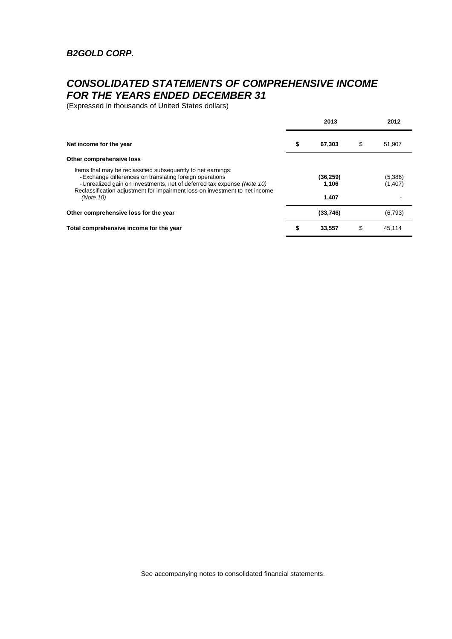# *CONSOLIDATED STATEMENTS OF COMPREHENSIVE INCOME FOR THE YEARS ENDED DECEMBER 31*

(Expressed in thousands of United States dollars)

|                                                                                                                                                                                                                                                                                  | 2013              | 2012               |
|----------------------------------------------------------------------------------------------------------------------------------------------------------------------------------------------------------------------------------------------------------------------------------|-------------------|--------------------|
| Net income for the year                                                                                                                                                                                                                                                          | \$<br>67,303      | \$<br>51,907       |
| Other comprehensive loss                                                                                                                                                                                                                                                         |                   |                    |
| Items that may be reclassified subsequently to net earnings:<br>-Exchange differences on translating foreign operations<br>-Unrealized gain on investments, net of deferred tax expense (Note 10)<br>Reclassification adjustment for impairment loss on investment to net income | (36,259)<br>1,106 | (5,386)<br>(1,407) |
| (Note 10)                                                                                                                                                                                                                                                                        | 1,407             |                    |
| Other comprehensive loss for the year                                                                                                                                                                                                                                            | (33,746)          | (6,793)            |
| Total comprehensive income for the year                                                                                                                                                                                                                                          | 33,557            | \$<br>45,114       |
|                                                                                                                                                                                                                                                                                  |                   |                    |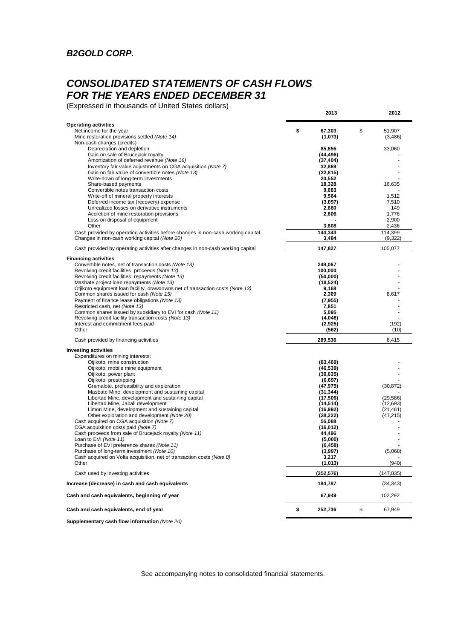# *CONSOLIDATED STATEMENTS OF CASH FLOWS FOR THE YEARS ENDED DECEMBER 31*

(Expressed in thousands of United States dollars)

|                                                                                               | 2013                 | 2012         |
|-----------------------------------------------------------------------------------------------|----------------------|--------------|
| <b>Operating activities</b>                                                                   |                      |              |
| Net income for the year                                                                       | \$<br>67,303         | \$<br>51,907 |
| Mine restoration provisions settled (Note 14)                                                 | (1,073)              | (3,486)      |
| Non-cash charges (credits)                                                                    |                      |              |
| Depreciation and depletion                                                                    | 85,855               | 33,060       |
| Gain on sale of Brucejack royalty                                                             | (44, 496)            |              |
| Amortization of deferred revenue (Note 16)                                                    | (37, 404)            |              |
| Inventory fair value adjustments on CGA acquisition (Note 7)                                  | 32,869               |              |
| Gain on fair value of convertible notes (Note 13)<br>Write-down of long-term investments      | (22, 815)<br>20,552  |              |
| Share-based payments                                                                          | 18,328               | 16,635       |
| Convertible notes transaction costs                                                           | 9,683                |              |
| Write-off of mineral property interests                                                       | 9,564                | 1,512        |
| Deferred income tax (recovery) expense                                                        | (3,097)              | 7,510        |
| Unrealized losses on derivative instruments                                                   | 2,660                | 149          |
| Accretion of mine restoration provisions                                                      | 2,606                | 1,776        |
| Loss on disposal of equipment                                                                 |                      | 2,900        |
| Other                                                                                         | 3,808                | 2,436        |
| Cash provided by operating activities before changes in non-cash working capital              | 144,343              | 114,399      |
| Changes in non-cash working capital (Note 20)                                                 | 3,484                | (9,322)      |
|                                                                                               |                      |              |
| Cash provided by operating activities after changes in non-cash working capital               | 147,827              | 105,077      |
| <b>Financing activities</b>                                                                   |                      |              |
| Convertible notes, net of transaction costs (Note 13)                                         | 249,067              |              |
| Revolving credit facilities, proceeds (Note 13)                                               | 100,000              |              |
| Revolving credit facilities, repayments (Note 13)                                             | (50,000)             |              |
| Masbate project loan repayments (Note 13)                                                     | (18, 524)            |              |
| Otjikoto equipment loan facility, drawdowns net of transaction costs (Note 13)                | 9,168                |              |
| Common shares issued for cash (Note 15)                                                       | 2,369                | 8,617        |
| Payment of finance lease obligations (Note 13)                                                | (7, 955)             |              |
| Restricted cash, net (Note 13)                                                                | 7,851                |              |
| Common shares issued by subsidiary to EVI for cash (Note 11)                                  | 5,095                |              |
| Revolving credit facility transaction costs (Note 13)<br>Interest and commitment fees paid    | (4,048)<br>(2,925)   | (192)        |
| Other                                                                                         | (562)                | (10)         |
|                                                                                               |                      |              |
| Cash provided by financing activities                                                         | 289,536              | 8,415        |
| <b>Investing activities</b>                                                                   |                      |              |
| Expenditures on mining interests:                                                             |                      |              |
| Otjikoto, mine construction                                                                   | (83, 469)            |              |
| Otjikoto, mobile mine equipment                                                               | (46, 539)            |              |
| Otjikoto, power plant                                                                         | (30, 635)            |              |
| Otjikoto, prestripping                                                                        | (6,697)<br>(47, 979) |              |
| Gramalote, prefeasibility and exploration<br>Masbate Mine, development and sustaining capital | (31, 344)            | (30, 872)    |
| Libertad Mine, development and sustaining capital                                             | (17,506)             | (29, 586)    |
| Libertad Mine, Jabali development                                                             | (14, 514)            | (12, 693)    |
| Limon Mine, development and sustaining capital                                                | (16,992)             | (21, 461)    |
| Other exploration and development (Note 20)                                                   | (28, 222)            | (47, 215)    |
| Cash acquired on CGA acquisition (Note 7)                                                     | 56,088               |              |
| CGA acquisition costs paid (Note 7)                                                           | (16, 012)            |              |
| Cash proceeds from sale of Brucejack royalty (Note 11)                                        | 44,496               |              |
| Loan to EVI (Note 11)                                                                         | (5,000)              |              |
| Purchase of EVI preference shares (Note 11)                                                   | (6, 458)             |              |
| Purchase of long-term investment (Note 10)                                                    | (3,997)              | (5,068)      |
| Cash acquired on Volta acquisition, net of transaction costs (Note 8)                         | 3,217                |              |
| Other                                                                                         | (1,013)              | (940)        |
| Cash used by investing activities                                                             | (252, 576)           | (147, 835)   |
| Increase (decrease) in cash and cash equivalents                                              | 184,787              | (34, 343)    |
| Cash and cash equivalents, beginning of year                                                  | 67,949               | 102,292      |
| Cash and cash equivalents, end of year                                                        | \$<br>252,736        | \$<br>67,949 |
|                                                                                               |                      |              |

**Supplementary cash flow information** *(Note 20)*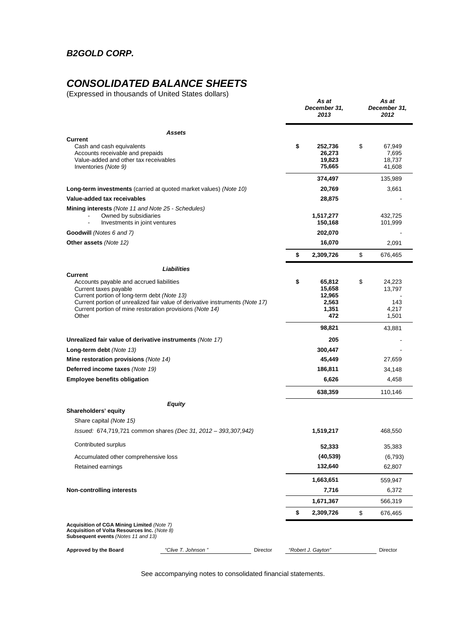# *CONSOLIDATED BALANCE SHEETS*

(Expressed in thousands of United States dollars)

|                                                                                                                                                                                                                                                                         | As at<br>December 31,<br>2013                      | As at<br>December 31,<br>2012             |
|-------------------------------------------------------------------------------------------------------------------------------------------------------------------------------------------------------------------------------------------------------------------------|----------------------------------------------------|-------------------------------------------|
| <b>Assets</b>                                                                                                                                                                                                                                                           |                                                    |                                           |
| Current<br>Cash and cash equivalents<br>Accounts receivable and prepaids<br>Value-added and other tax receivables<br>Inventories (Note 9)                                                                                                                               | \$<br>252,736<br>26,273<br>19,823<br>75,665        | \$<br>67,949<br>7,695<br>18,737<br>41,608 |
|                                                                                                                                                                                                                                                                         | 374,497                                            | 135,989                                   |
| Long-term investments (carried at quoted market values) (Note 10)                                                                                                                                                                                                       | 20,769                                             | 3,661                                     |
| Value-added tax receivables                                                                                                                                                                                                                                             | 28,875                                             |                                           |
| Mining interests (Note 11 and Note 25 - Schedules)<br>Owned by subsidiaries<br>Investments in joint ventures                                                                                                                                                            | 1,517,277<br>150,168                               | 432,725<br>101,999                        |
| Goodwill (Notes 6 and 7)                                                                                                                                                                                                                                                | 202,070                                            |                                           |
| <b>Other assets (Note 12)</b>                                                                                                                                                                                                                                           | 16,070                                             | 2,091                                     |
|                                                                                                                                                                                                                                                                         | \$<br>2,309,726                                    | \$<br>676,465                             |
| Liabilities                                                                                                                                                                                                                                                             |                                                    |                                           |
| Current<br>Accounts payable and accrued liabilities<br>Current taxes payable<br>Current portion of long-term debt (Note 13)<br>Current portion of unrealized fair value of derivative instruments (Note 17)<br>Current portion of mine restoration provisions (Note 14) | \$<br>65,812<br>15,658<br>12,965<br>2,563<br>1,351 | \$<br>24,223<br>13,797<br>143<br>4,217    |
| Other                                                                                                                                                                                                                                                                   | 472<br>98,821                                      | 1,501<br>43,881                           |
| Unrealized fair value of derivative instruments (Note 17)                                                                                                                                                                                                               | 205                                                |                                           |
| Long-term debt (Note 13)                                                                                                                                                                                                                                                | 300,447                                            |                                           |
| Mine restoration provisions (Note 14)                                                                                                                                                                                                                                   | 45,449                                             | 27,659                                    |
| Deferred income taxes (Note 19)                                                                                                                                                                                                                                         | 186,811                                            | 34,148                                    |
| <b>Employee benefits obligation</b>                                                                                                                                                                                                                                     | 6,626                                              | 4,458                                     |
|                                                                                                                                                                                                                                                                         | 638,359                                            | 110,146                                   |
| Equity                                                                                                                                                                                                                                                                  |                                                    |                                           |
| Shareholders' equity                                                                                                                                                                                                                                                    |                                                    |                                           |
| Share capital (Note 15)                                                                                                                                                                                                                                                 |                                                    |                                           |
| Issued: 674,719,721 common shares (Dec 31, 2012 - 393,307,942)                                                                                                                                                                                                          | 1,519,217                                          | 468,550                                   |
| Contributed surplus                                                                                                                                                                                                                                                     | 52,333                                             | 35,383                                    |
| Accumulated other comprehensive loss                                                                                                                                                                                                                                    | (40, 539)                                          | (6, 793)                                  |
| Retained earnings                                                                                                                                                                                                                                                       | 132,640                                            | 62,807                                    |
|                                                                                                                                                                                                                                                                         | 1,663,651                                          | 559,947                                   |
| Non-controlling interests                                                                                                                                                                                                                                               | 7,716                                              | 6,372                                     |
|                                                                                                                                                                                                                                                                         | 1,671,367                                          | 566,319                                   |
|                                                                                                                                                                                                                                                                         | \$<br>2,309,726                                    | \$<br>676,465                             |
| Acquisition of CGA Mining Limited (Note 7)<br>Acquisition of Volta Resources Inc. (Note 8)<br>Subsequent events (Notes 11 and 13)                                                                                                                                       |                                                    |                                           |
| Approved by the Board<br>"Clive T. Johnson "<br>Director                                                                                                                                                                                                                | "Robert J. Gayton"                                 | Director                                  |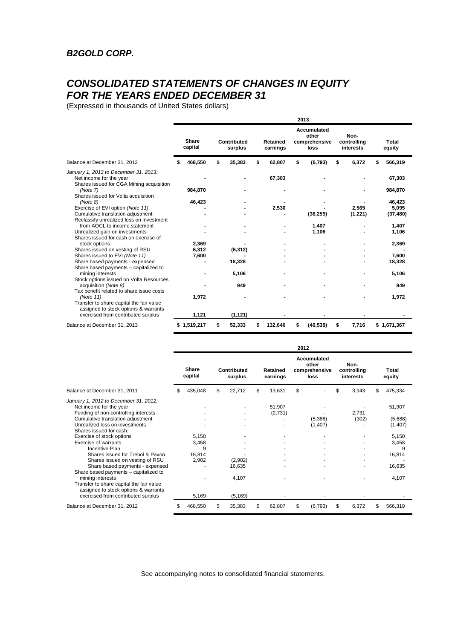# *CONSOLIDATED STATEMENTS OF CHANGES IN EQUITY FOR THE YEARS ENDED DECEMBER 31*

(Expressed in thousands of United States dollars)

|                                                                 |                  |                        |                      | 2013                                                 |                                  |                 |
|-----------------------------------------------------------------|------------------|------------------------|----------------------|------------------------------------------------------|----------------------------------|-----------------|
|                                                                 | Share<br>capital | Contributed<br>surplus | Retained<br>earnings | <b>Accumulated</b><br>other<br>comprehensive<br>loss | Non-<br>controlling<br>interests | Total<br>equity |
| Balance at December 31, 2012                                    | 468,550          | \$<br>35,383           | \$<br>62,807         | \$<br>(6, 793)                                       | \$<br>6,372                      | 566,319         |
| January 1, 2013 to December 31, 2013:                           |                  |                        |                      |                                                      |                                  |                 |
| Net income for the year                                         |                  |                        | 67,303               |                                                      |                                  | 67,303          |
| Shares issued for CGA Mining acquisition                        |                  |                        |                      |                                                      |                                  |                 |
| (Note 7)                                                        | 984,870          |                        |                      |                                                      |                                  | 984,870         |
| Shares issued for Volta acquisition<br>(Note 8)                 | 46,423           |                        |                      |                                                      |                                  | 46,423          |
| Exercise of EVI option (Note 11)                                |                  |                        | 2,530                |                                                      | 2,565                            | 5,095           |
| Cumulative translation adjustment                               |                  |                        |                      | (36, 259)                                            | (1,221)                          | (37, 480)       |
| Reclassify unrealized loss on investment                        |                  |                        |                      |                                                      |                                  |                 |
| from AOCL to income statement                                   |                  |                        |                      | 1.407                                                |                                  | 1,407           |
| Unrealized gain on investments                                  |                  |                        |                      | 1,106                                                |                                  | 1,106           |
| Shares issued for cash on exercise of                           |                  |                        |                      |                                                      |                                  |                 |
| stock options                                                   | 2,369            |                        |                      |                                                      |                                  | 2,369           |
| Shares issued on vesting of RSU                                 | 6,312            | (6, 312)               |                      |                                                      |                                  |                 |
| Shares issued to EVI (Note 11)                                  | 7,600            |                        |                      |                                                      |                                  | 7,600           |
| Share based payments - expensed                                 |                  | 18,328                 |                      |                                                      |                                  | 18,328          |
| Share based payments - capitalized to                           |                  |                        |                      |                                                      |                                  |                 |
| mining interests                                                |                  | 5,106                  |                      |                                                      |                                  | 5,106           |
| Stock options issued on Volta Resources<br>acquisition (Note 8) |                  | 949                    |                      |                                                      |                                  | 949             |
| Tax benefit related to share issue costs                        |                  |                        |                      |                                                      |                                  |                 |
| (Note 11)                                                       | 1,972            |                        |                      |                                                      |                                  | 1,972           |
| Transfer to share capital the fair value                        |                  |                        |                      |                                                      |                                  |                 |
| assigned to stock options & warrants                            |                  |                        |                      |                                                      |                                  |                 |
| exercised from contributed surplus                              | 1,121            | (1, 121)               |                      |                                                      |                                  |                 |
| Balance at December 31, 2013                                    | \$1,519,217      | \$<br>52,333           | \$<br>132,640        | (40, 539)                                            | \$<br>7,716                      | \$1,671,367     |

|                                          |    |                                            |    |                      |    |                                                      | 2012 |                                  |    |       |                 |         |
|------------------------------------------|----|--------------------------------------------|----|----------------------|----|------------------------------------------------------|------|----------------------------------|----|-------|-----------------|---------|
|                                          |    | Share<br>Contributed<br>capital<br>surplus |    | Retained<br>earnings |    | <b>Accumulated</b><br>other<br>comprehensive<br>loss |      | Non-<br>controlling<br>interests |    |       | Total<br>equity |         |
| Balance at December 31, 2011             | \$ | 435,048                                    | \$ | 22,712               | \$ | 13,631                                               | \$   |                                  | \$ | 3,943 | \$.             | 475,334 |
| January 1, 2012 to December 31, 2012:    |    |                                            |    |                      |    |                                                      |      |                                  |    |       |                 |         |
| Net income for the year                  |    |                                            |    |                      |    | 51,907                                               |      |                                  |    |       |                 | 51,907  |
| Funding of non-controlling interests     |    |                                            |    |                      |    | (2,731)                                              |      |                                  |    | 2,731 |                 |         |
| Cumulative translation adjustment        |    |                                            |    |                      |    |                                                      |      | (5,386)                          |    | (302) |                 | (5,688) |
| Unrealized loss on investments           |    |                                            |    |                      |    |                                                      |      | (1, 407)                         |    |       |                 | (1,407) |
| Shares issued for cash:                  |    |                                            |    |                      |    |                                                      |      |                                  |    |       |                 |         |
| Exercise of stock options                |    | 5,150                                      |    |                      |    |                                                      |      |                                  |    |       |                 | 5.150   |
| Exercise of warrants                     |    | 3,458                                      |    |                      |    |                                                      |      |                                  |    |       |                 | 3,458   |
| <b>Incentive Plan</b>                    |    | 9                                          |    |                      |    |                                                      |      |                                  |    |       |                 | 9       |
| Shares issued for Trebol & Pavon         |    | 16.814                                     |    |                      |    |                                                      |      |                                  |    |       |                 | 16,814  |
| Shares issued on vesting of RSU          |    | 2,902                                      |    | (2,902)              |    |                                                      |      |                                  |    |       |                 |         |
| Share based payments - expensed          |    |                                            |    | 16,635               |    |                                                      |      |                                  |    |       |                 | 16,635  |
| Share based payments - capitalized to    |    |                                            |    |                      |    |                                                      |      |                                  |    |       |                 |         |
| mining interests                         |    |                                            |    | 4,107                |    |                                                      |      |                                  |    |       |                 | 4.107   |
| Transfer to share capital the fair value |    |                                            |    |                      |    |                                                      |      |                                  |    |       |                 |         |
| assigned to stock options & warrants     |    |                                            |    |                      |    |                                                      |      |                                  |    |       |                 |         |
| exercised from contributed surplus       |    | 5,169                                      |    | (5, 169)             |    |                                                      |      |                                  |    |       |                 |         |
| Balance at December 31, 2012             | \$ | 468,550                                    | \$ | 35,383               | \$ | 62,807                                               | \$   | (6, 793)                         | \$ | 6,372 | \$              | 566,319 |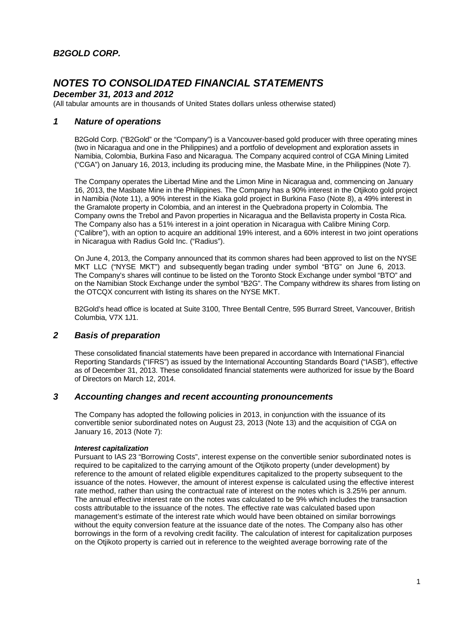### *December 31, 2013 and 2012*

(All tabular amounts are in thousands of United States dollars unless otherwise stated)

## *1 Nature of operations*

B2Gold Corp. ("B2Gold" or the "Company") is a Vancouver-based gold producer with three operating mines (two in Nicaragua and one in the Philippines) and a portfolio of development and exploration assets in Namibia, Colombia, Burkina Faso and Nicaragua. The Company acquired control of CGA Mining Limited ("CGA") on January 16, 2013, including its producing mine, the Masbate Mine, in the Philippines (Note 7).

The Company operates the Libertad Mine and the Limon Mine in Nicaragua and, commencing on January 16, 2013, the Masbate Mine in the Philippines. The Company has a 90% interest in the Otjikoto gold project in Namibia (Note 11), a 90% interest in the Kiaka gold project in Burkina Faso (Note 8), a 49% interest in the Gramalote property in Colombia, and an interest in the Quebradona property in Colombia. The Company owns the Trebol and Pavon properties in Nicaragua and the Bellavista property in Costa Rica. The Company also has a 51% interest in a joint operation in Nicaragua with Calibre Mining Corp. ("Calibre"), with an option to acquire an additional 19% interest, and a 60% interest in two joint operations in Nicaragua with Radius Gold Inc. ("Radius").

On June 4, 2013, the Company announced that its common shares had been approved to list on the NYSE MKT LLC ("NYSE MKT") and subsequently began trading under symbol "BTG" on June 6, 2013. The Company's shares will continue to be listed on the Toronto Stock Exchange under symbol "BTO" and on the Namibian Stock Exchange under the symbol "B2G". The Company withdrew its shares from listing on the OTCQX concurrent with listing its shares on the NYSE MKT.

B2Gold's head office is located at Suite 3100, Three Bentall Centre, 595 Burrard Street, Vancouver, British Columbia, V7X 1J1.

## *2 Basis of preparation*

These consolidated financial statements have been prepared in accordance with International Financial Reporting Standards ("IFRS") as issued by the International Accounting Standards Board ("IASB"), effective as of December 31, 2013. These consolidated financial statements were authorized for issue by the Board of Directors on March 12, 2014.

## *3 Accounting changes and recent accounting pronouncements*

The Company has adopted the following policies in 2013, in conjunction with the issuance of its convertible senior subordinated notes on August 23, 2013 (Note 13) and the acquisition of CGA on January 16, 2013 (Note 7):

### *Interest capitalization*

Pursuant to IAS 23 "Borrowing Costs", interest expense on the convertible senior subordinated notes is required to be capitalized to the carrying amount of the Otjikoto property (under development) by reference to the amount of related eligible expenditures capitalized to the property subsequent to the issuance of the notes. However, the amount of interest expense is calculated using the effective interest rate method, rather than using the contractual rate of interest on the notes which is 3.25% per annum. The annual effective interest rate on the notes was calculated to be 9% which includes the transaction costs attributable to the issuance of the notes. The effective rate was calculated based upon management's estimate of the interest rate which would have been obtained on similar borrowings without the equity conversion feature at the issuance date of the notes. The Company also has other borrowings in the form of a revolving credit facility. The calculation of interest for capitalization purposes on the Otjikoto property is carried out in reference to the weighted average borrowing rate of the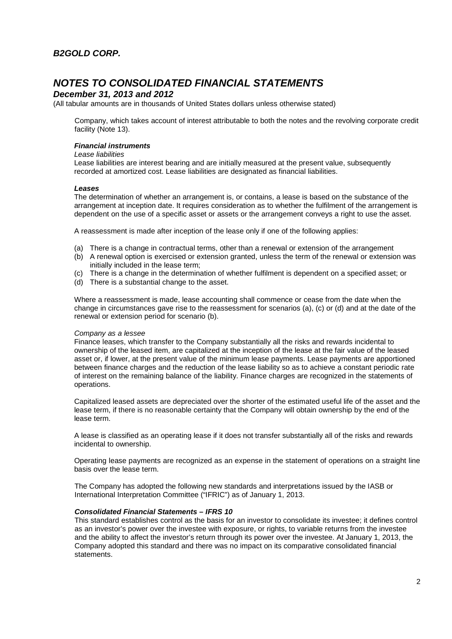### *December 31, 2013 and 2012*

(All tabular amounts are in thousands of United States dollars unless otherwise stated)

Company, which takes account of interest attributable to both the notes and the revolving corporate credit facility (Note 13).

### *Financial instruments*

## *Lease liabilities*

Lease liabilities are interest bearing and are initially measured at the present value, subsequently recorded at amortized cost. Lease liabilities are designated as financial liabilities.

#### *Leases*

The determination of whether an arrangement is, or contains, a lease is based on the substance of the arrangement at inception date. It requires consideration as to whether the fulfilment of the arrangement is dependent on the use of a specific asset or assets or the arrangement conveys a right to use the asset.

A reassessment is made after inception of the lease only if one of the following applies:

- (a) There is a change in contractual terms, other than a renewal or extension of the arrangement
- (b) A renewal option is exercised or extension granted, unless the term of the renewal or extension was initially included in the lease term;
- (c) There is a change in the determination of whether fulfilment is dependent on a specified asset; or
- (d) There is a substantial change to the asset.

Where a reassessment is made, lease accounting shall commence or cease from the date when the change in circumstances gave rise to the reassessment for scenarios (a), (c) or (d) and at the date of the renewal or extension period for scenario (b).

### *Company as a lessee*

Finance leases, which transfer to the Company substantially all the risks and rewards incidental to ownership of the leased item, are capitalized at the inception of the lease at the fair value of the leased asset or, if lower, at the present value of the minimum lease payments. Lease payments are apportioned between finance charges and the reduction of the lease liability so as to achieve a constant periodic rate of interest on the remaining balance of the liability. Finance charges are recognized in the statements of operations.

Capitalized leased assets are depreciated over the shorter of the estimated useful life of the asset and the lease term, if there is no reasonable certainty that the Company will obtain ownership by the end of the lease term.

A lease is classified as an operating lease if it does not transfer substantially all of the risks and rewards incidental to ownership.

Operating lease payments are recognized as an expense in the statement of operations on a straight line basis over the lease term.

The Company has adopted the following new standards and interpretations issued by the IASB or International Interpretation Committee ("IFRIC") as of January 1, 2013.

### *Consolidated Financial Statements – IFRS 10*

This standard establishes control as the basis for an investor to consolidate its investee; it defines control as an investor's power over the investee with exposure, or rights, to variable returns from the investee and the ability to affect the investor's return through its power over the investee. At January 1, 2013, the Company adopted this standard and there was no impact on its comparative consolidated financial statements.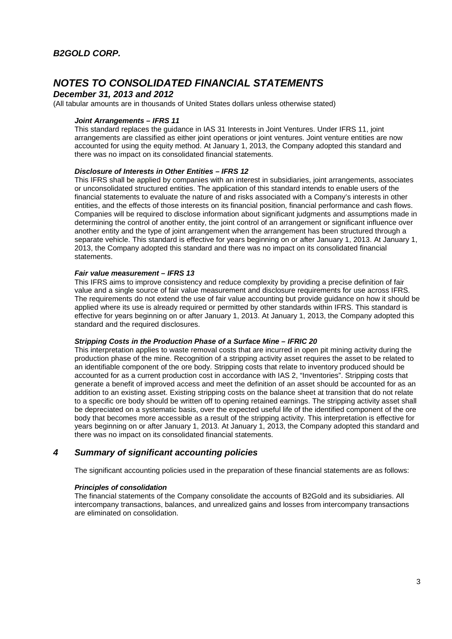*December 31, 2013 and 2012*

(All tabular amounts are in thousands of United States dollars unless otherwise stated)

### *Joint Arrangements – IFRS 11*

This standard replaces the guidance in IAS 31 Interests in Joint Ventures. Under IFRS 11, joint arrangements are classified as either joint operations or joint ventures. Joint venture entities are now accounted for using the equity method. At January 1, 2013, the Company adopted this standard and there was no impact on its consolidated financial statements.

### *Disclosure of Interests in Other Entities – IFRS 12*

This IFRS shall be applied by companies with an interest in subsidiaries, joint arrangements, associates or unconsolidated structured entities. The application of this standard intends to enable users of the financial statements to evaluate the nature of and risks associated with a Company's interests in other entities, and the effects of those interests on its financial position, financial performance and cash flows. Companies will be required to disclose information about significant judgments and assumptions made in determining the control of another entity, the joint control of an arrangement or significant influence over another entity and the type of joint arrangement when the arrangement has been structured through a separate vehicle. This standard is effective for years beginning on or after January 1, 2013. At January 1, 2013, the Company adopted this standard and there was no impact on its consolidated financial statements.

#### *Fair value measurement – IFRS 13*

This IFRS aims to improve consistency and reduce complexity by providing a precise definition of fair value and a single source of fair value measurement and disclosure requirements for use across IFRS. The requirements do not extend the use of fair value accounting but provide guidance on how it should be applied where its use is already required or permitted by other standards within IFRS. This standard is effective for years beginning on or after January 1, 2013. At January 1, 2013, the Company adopted this standard and the required disclosures.

#### *Stripping Costs in the Production Phase of a Surface Mine – IFRIC 20*

This interpretation applies to waste removal costs that are incurred in open pit mining activity during the production phase of the mine. Recognition of a stripping activity asset requires the asset to be related to an identifiable component of the ore body. Stripping costs that relate to inventory produced should be accounted for as a current production cost in accordance with IAS 2, "Inventories". Stripping costs that generate a benefit of improved access and meet the definition of an asset should be accounted for as an addition to an existing asset. Existing stripping costs on the balance sheet at transition that do not relate to a specific ore body should be written off to opening retained earnings. The stripping activity asset shall be depreciated on a systematic basis, over the expected useful life of the identified component of the ore body that becomes more accessible as a result of the stripping activity. This interpretation is effective for years beginning on or after January 1, 2013. At January 1, 2013, the Company adopted this standard and there was no impact on its consolidated financial statements.

### *4 Summary of significant accounting policies*

The significant accounting policies used in the preparation of these financial statements are as follows:

### *Principles of consolidation*

The financial statements of the Company consolidate the accounts of B2Gold and its subsidiaries. All intercompany transactions, balances, and unrealized gains and losses from intercompany transactions are eliminated on consolidation.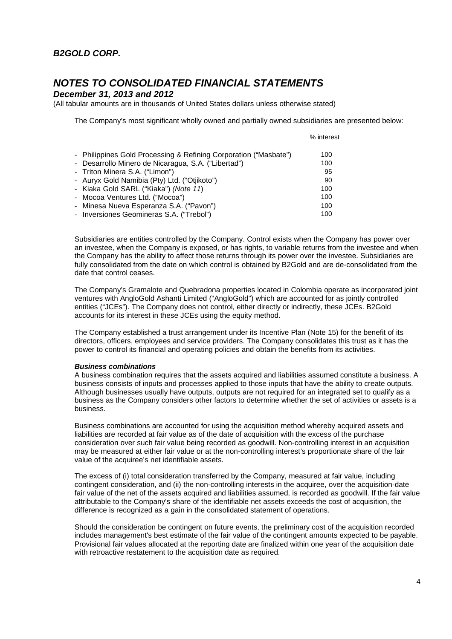## *B2GOLD CORP.*

## *NOTES TO CONSOLIDATED FINANCIAL STATEMENTS*

*December 31, 2013 and 2012*

(All tabular amounts are in thousands of United States dollars unless otherwise stated)

The Company's most significant wholly owned and partially owned subsidiaries are presented below:

|                                                                  | % interest |
|------------------------------------------------------------------|------------|
| - Philippines Gold Processing & Refining Corporation ("Masbate") | 100        |
| - Desarrollo Minero de Nicaragua, S.A. ("Libertad")              | 100        |
| - Triton Minera S.A. ("Limon")                                   | 95         |
| - Auryx Gold Namibia (Pty) Ltd. ("Otjikoto")                     | 90         |
| - Kiaka Gold SARL ("Kiaka") (Note 11)                            | 100        |
| - Mocoa Ventures Ltd. ("Mocoa")                                  | 100        |
| - Minesa Nueva Esperanza S.A. ("Pavon")                          | 100        |
| - Inversiones Geomineras S.A. ("Trebol")                         | 100        |

Subsidiaries are entities controlled by the Company. Control exists when the Company has power over an investee, when the Company is exposed, or has rights, to variable returns from the investee and when the Company has the ability to affect those returns through its power over the investee. Subsidiaries are fully consolidated from the date on which control is obtained by B2Gold and are de-consolidated from the date that control ceases.

The Company's Gramalote and Quebradona properties located in Colombia operate as incorporated joint ventures with AngloGold Ashanti Limited ("AngloGold") which are accounted for as jointly controlled entities ("JCEs"). The Company does not control, either directly or indirectly, these JCEs. B2Gold accounts for its interest in these JCEs using the equity method.

The Company established a trust arrangement under its Incentive Plan (Note 15) for the benefit of its directors, officers, employees and service providers. The Company consolidates this trust as it has the power to control its financial and operating policies and obtain the benefits from its activities.

#### *Business combinations*

A business combination requires that the assets acquired and liabilities assumed constitute a business. A business consists of inputs and processes applied to those inputs that have the ability to create outputs. Although businesses usually have outputs, outputs are not required for an integrated set to qualify as a business as the Company considers other factors to determine whether the set of activities or assets is a business.

Business combinations are accounted for using the acquisition method whereby acquired assets and liabilities are recorded at fair value as of the date of acquisition with the excess of the purchase consideration over such fair value being recorded as goodwill. Non-controlling interest in an acquisition may be measured at either fair value or at the non-controlling interest's proportionate share of the fair value of the acquiree's net identifiable assets.

The excess of (i) total consideration transferred by the Company, measured at fair value, including contingent consideration, and (ii) the non-controlling interests in the acquiree, over the acquisition-date fair value of the net of the assets acquired and liabilities assumed, is recorded as goodwill. If the fair value attributable to the Company's share of the identifiable net assets exceeds the cost of acquisition, the difference is recognized as a gain in the consolidated statement of operations.

Should the consideration be contingent on future events, the preliminary cost of the acquisition recorded includes management's best estimate of the fair value of the contingent amounts expected to be payable. Provisional fair values allocated at the reporting date are finalized within one year of the acquisition date with retroactive restatement to the acquisition date as required.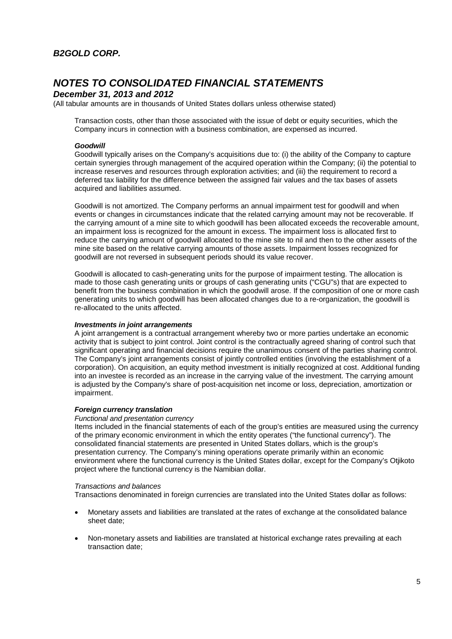*December 31, 2013 and 2012*

(All tabular amounts are in thousands of United States dollars unless otherwise stated)

Transaction costs, other than those associated with the issue of debt or equity securities, which the Company incurs in connection with a business combination, are expensed as incurred.

### *Goodwill*

Goodwill typically arises on the Company's acquisitions due to: (i) the ability of the Company to capture certain synergies through management of the acquired operation within the Company; (ii) the potential to increase reserves and resources through exploration activities; and (iii) the requirement to record a deferred tax liability for the difference between the assigned fair values and the tax bases of assets acquired and liabilities assumed.

Goodwill is not amortized. The Company performs an annual impairment test for goodwill and when events or changes in circumstances indicate that the related carrying amount may not be recoverable. If the carrying amount of a mine site to which goodwill has been allocated exceeds the recoverable amount, an impairment loss is recognized for the amount in excess. The impairment loss is allocated first to reduce the carrying amount of goodwill allocated to the mine site to nil and then to the other assets of the mine site based on the relative carrying amounts of those assets. Impairment losses recognized for goodwill are not reversed in subsequent periods should its value recover.

Goodwill is allocated to cash-generating units for the purpose of impairment testing. The allocation is made to those cash generating units or groups of cash generating units ("CGU"s) that are expected to benefit from the business combination in which the goodwill arose. If the composition of one or more cash generating units to which goodwill has been allocated changes due to a re-organization, the goodwill is re-allocated to the units affected.

### *Investments in joint arrangements*

A joint arrangement is a contractual arrangement whereby two or more parties undertake an economic activity that is subject to joint control. Joint control is the contractually agreed sharing of control such that significant operating and financial decisions require the unanimous consent of the parties sharing control. The Company's joint arrangements consist of jointly controlled entities (involving the establishment of a corporation). On acquisition, an equity method investment is initially recognized at cost. Additional funding into an investee is recorded as an increase in the carrying value of the investment. The carrying amount is adjusted by the Company's share of post-acquisition net income or loss, depreciation, amortization or impairment.

### *Foreign currency translation*

#### *Functional and presentation currency*

Items included in the financial statements of each of the group's entities are measured using the currency of the primary economic environment in which the entity operates ("the functional currency"). The consolidated financial statements are presented in United States dollars, which is the group's presentation currency. The Company's mining operations operate primarily within an economic environment where the functional currency is the United States dollar, except for the Company's Otjikoto project where the functional currency is the Namibian dollar.

#### *Transactions and balances*

Transactions denominated in foreign currencies are translated into the United States dollar as follows:

- Monetary assets and liabilities are translated at the rates of exchange at the consolidated balance sheet date;
- Non-monetary assets and liabilities are translated at historical exchange rates prevailing at each transaction date;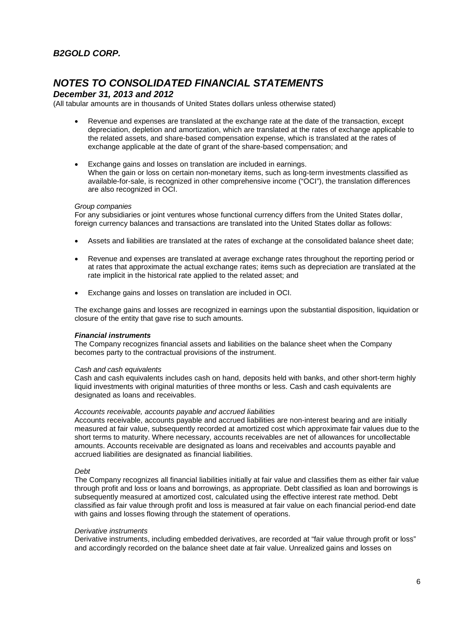### *December 31, 2013 and 2012*

(All tabular amounts are in thousands of United States dollars unless otherwise stated)

- Revenue and expenses are translated at the exchange rate at the date of the transaction, except depreciation, depletion and amortization, which are translated at the rates of exchange applicable to the related assets, and share-based compensation expense, which is translated at the rates of exchange applicable at the date of grant of the share-based compensation; and
- Exchange gains and losses on translation are included in earnings. When the gain or loss on certain non-monetary items, such as long-term investments classified as available-for-sale, is recognized in other comprehensive income ("OCI"), the translation differences are also recognized in OCI.

### *Group companies*

For any subsidiaries or joint ventures whose functional currency differs from the United States dollar, foreign currency balances and transactions are translated into the United States dollar as follows:

- Assets and liabilities are translated at the rates of exchange at the consolidated balance sheet date;
- Revenue and expenses are translated at average exchange rates throughout the reporting period or at rates that approximate the actual exchange rates; items such as depreciation are translated at the rate implicit in the historical rate applied to the related asset; and
- Exchange gains and losses on translation are included in OCI.

The exchange gains and losses are recognized in earnings upon the substantial disposition, liquidation or closure of the entity that gave rise to such amounts.

### *Financial instruments*

The Company recognizes financial assets and liabilities on the balance sheet when the Company becomes party to the contractual provisions of the instrument.

#### *Cash and cash equivalents*

Cash and cash equivalents includes cash on hand, deposits held with banks, and other short-term highly liquid investments with original maturities of three months or less. Cash and cash equivalents are designated as loans and receivables.

#### *Accounts receivable, accounts payable and accrued liabilities*

Accounts receivable, accounts payable and accrued liabilities are non-interest bearing and are initially measured at fair value, subsequently recorded at amortized cost which approximate fair values due to the short terms to maturity. Where necessary, accounts receivables are net of allowances for uncollectable amounts. Accounts receivable are designated as loans and receivables and accounts payable and accrued liabilities are designated as financial liabilities.

### *Debt*

The Company recognizes all financial liabilities initially at fair value and classifies them as either fair value through profit and loss or loans and borrowings, as appropriate. Debt classified as loan and borrowings is subsequently measured at amortized cost, calculated using the effective interest rate method. Debt classified as fair value through profit and loss is measured at fair value on each financial period-end date with gains and losses flowing through the statement of operations.

#### *Derivative instruments*

Derivative instruments, including embedded derivatives, are recorded at "fair value through profit or loss" and accordingly recorded on the balance sheet date at fair value. Unrealized gains and losses on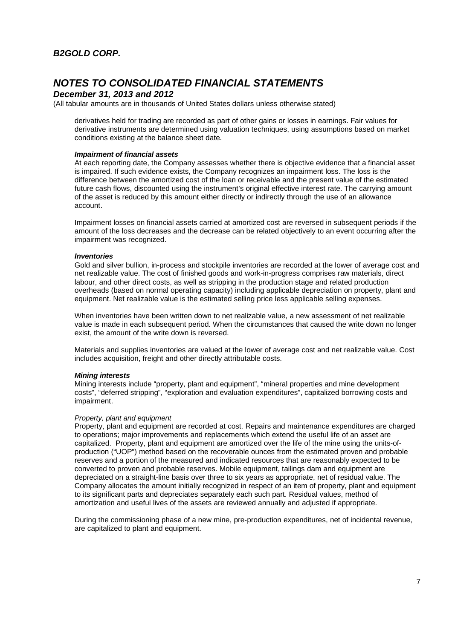*December 31, 2013 and 2012*

(All tabular amounts are in thousands of United States dollars unless otherwise stated)

derivatives held for trading are recorded as part of other gains or losses in earnings. Fair values for derivative instruments are determined using valuation techniques, using assumptions based on market conditions existing at the balance sheet date.

#### *Impairment of financial assets*

At each reporting date, the Company assesses whether there is objective evidence that a financial asset is impaired. If such evidence exists, the Company recognizes an impairment loss. The loss is the difference between the amortized cost of the loan or receivable and the present value of the estimated future cash flows, discounted using the instrument's original effective interest rate. The carrying amount of the asset is reduced by this amount either directly or indirectly through the use of an allowance account.

Impairment losses on financial assets carried at amortized cost are reversed in subsequent periods if the amount of the loss decreases and the decrease can be related objectively to an event occurring after the impairment was recognized.

#### *Inventories*

Gold and silver bullion, in-process and stockpile inventories are recorded at the lower of average cost and net realizable value. The cost of finished goods and work-in-progress comprises raw materials, direct labour, and other direct costs, as well as stripping in the production stage and related production overheads (based on normal operating capacity) including applicable depreciation on property, plant and equipment. Net realizable value is the estimated selling price less applicable selling expenses.

When inventories have been written down to net realizable value, a new assessment of net realizable value is made in each subsequent period. When the circumstances that caused the write down no longer exist, the amount of the write down is reversed.

Materials and supplies inventories are valued at the lower of average cost and net realizable value. Cost includes acquisition, freight and other directly attributable costs.

### *Mining interests*

Mining interests include "property, plant and equipment", "mineral properties and mine development costs", "deferred stripping", "exploration and evaluation expenditures", capitalized borrowing costs and impairment.

#### *Property, plant and equipment*

Property, plant and equipment are recorded at cost. Repairs and maintenance expenditures are charged to operations; major improvements and replacements which extend the useful life of an asset are capitalized. Property, plant and equipment are amortized over the life of the mine using the units-ofproduction ("UOP") method based on the recoverable ounces from the estimated proven and probable reserves and a portion of the measured and indicated resources that are reasonably expected to be converted to proven and probable reserves. Mobile equipment, tailings dam and equipment are depreciated on a straight-line basis over three to six years as appropriate, net of residual value. The Company allocates the amount initially recognized in respect of an item of property, plant and equipment to its significant parts and depreciates separately each such part. Residual values, method of amortization and useful lives of the assets are reviewed annually and adjusted if appropriate.

During the commissioning phase of a new mine, pre-production expenditures, net of incidental revenue, are capitalized to plant and equipment.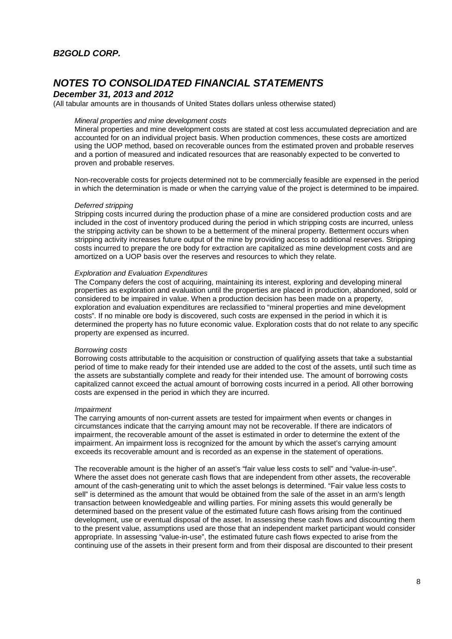### *December 31, 2013 and 2012*

(All tabular amounts are in thousands of United States dollars unless otherwise stated)

#### *Mineral properties and mine development costs*

Mineral properties and mine development costs are stated at cost less accumulated depreciation and are accounted for on an individual project basis. When production commences, these costs are amortized using the UOP method, based on recoverable ounces from the estimated proven and probable reserves and a portion of measured and indicated resources that are reasonably expected to be converted to proven and probable reserves.

Non-recoverable costs for projects determined not to be commercially feasible are expensed in the period in which the determination is made or when the carrying value of the project is determined to be impaired.

#### *Deferred stripping*

Stripping costs incurred during the production phase of a mine are considered production costs and are included in the cost of inventory produced during the period in which stripping costs are incurred, unless the stripping activity can be shown to be a betterment of the mineral property. Betterment occurs when stripping activity increases future output of the mine by providing access to additional reserves. Stripping costs incurred to prepare the ore body for extraction are capitalized as mine development costs and are amortized on a UOP basis over the reserves and resources to which they relate.

#### *Exploration and Evaluation Expenditures*

The Company defers the cost of acquiring, maintaining its interest, exploring and developing mineral properties as exploration and evaluation until the properties are placed in production, abandoned, sold or considered to be impaired in value. When a production decision has been made on a property, exploration and evaluation expenditures are reclassified to "mineral properties and mine development costs". If no minable ore body is discovered, such costs are expensed in the period in which it is determined the property has no future economic value. Exploration costs that do not relate to any specific property are expensed as incurred.

#### *Borrowing costs*

Borrowing costs attributable to the acquisition or construction of qualifying assets that take a substantial period of time to make ready for their intended use are added to the cost of the assets, until such time as the assets are substantially complete and ready for their intended use. The amount of borrowing costs capitalized cannot exceed the actual amount of borrowing costs incurred in a period. All other borrowing costs are expensed in the period in which they are incurred.

#### *Impairment*

The carrying amounts of non-current assets are tested for impairment when events or changes in circumstances indicate that the carrying amount may not be recoverable. If there are indicators of impairment, the recoverable amount of the asset is estimated in order to determine the extent of the impairment. An impairment loss is recognized for the amount by which the asset's carrying amount exceeds its recoverable amount and is recorded as an expense in the statement of operations.

The recoverable amount is the higher of an asset's "fair value less costs to sell" and "value-in-use". Where the asset does not generate cash flows that are independent from other assets, the recoverable amount of the cash-generating unit to which the asset belongs is determined. "Fair value less costs to sell" is determined as the amount that would be obtained from the sale of the asset in an arm's length transaction between knowledgeable and willing parties. For mining assets this would generally be determined based on the present value of the estimated future cash flows arising from the continued development, use or eventual disposal of the asset. In assessing these cash flows and discounting them to the present value, assumptions used are those that an independent market participant would consider appropriate. In assessing "value-in-use", the estimated future cash flows expected to arise from the continuing use of the assets in their present form and from their disposal are discounted to their present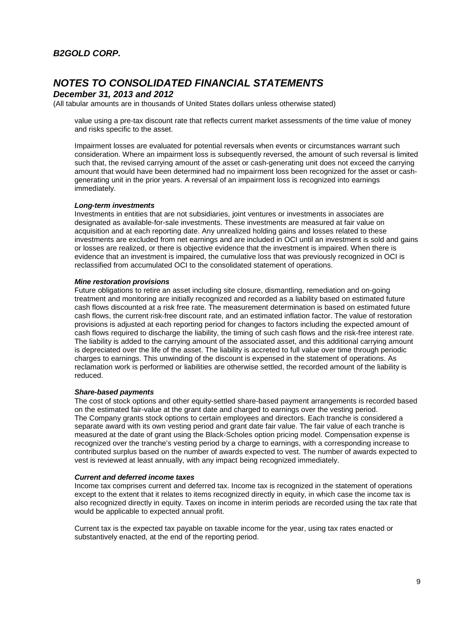### *December 31, 2013 and 2012*

(All tabular amounts are in thousands of United States dollars unless otherwise stated)

value using a pre-tax discount rate that reflects current market assessments of the time value of money and risks specific to the asset.

Impairment losses are evaluated for potential reversals when events or circumstances warrant such consideration. Where an impairment loss is subsequently reversed, the amount of such reversal is limited such that, the revised carrying amount of the asset or cash-generating unit does not exceed the carrying amount that would have been determined had no impairment loss been recognized for the asset or cashgenerating unit in the prior years. A reversal of an impairment loss is recognized into earnings immediately.

#### *Long-term investments*

Investments in entities that are not subsidiaries, joint ventures or investments in associates are designated as available-for-sale investments. These investments are measured at fair value on acquisition and at each reporting date. Any unrealized holding gains and losses related to these investments are excluded from net earnings and are included in OCI until an investment is sold and gains or losses are realized, or there is objective evidence that the investment is impaired. When there is evidence that an investment is impaired, the cumulative loss that was previously recognized in OCI is reclassified from accumulated OCI to the consolidated statement of operations.

#### *Mine restoration provisions*

Future obligations to retire an asset including site closure, dismantling, remediation and on-going treatment and monitoring are initially recognized and recorded as a liability based on estimated future cash flows discounted at a risk free rate. The measurement determination is based on estimated future cash flows, the current risk-free discount rate, and an estimated inflation factor. The value of restoration provisions is adjusted at each reporting period for changes to factors including the expected amount of cash flows required to discharge the liability, the timing of such cash flows and the risk-free interest rate. The liability is added to the carrying amount of the associated asset, and this additional carrying amount is depreciated over the life of the asset. The liability is accreted to full value over time through periodic charges to earnings. This unwinding of the discount is expensed in the statement of operations. As reclamation work is performed or liabilities are otherwise settled, the recorded amount of the liability is reduced.

#### *Share-based payments*

The cost of stock options and other equity-settled share-based payment arrangements is recorded based on the estimated fair-value at the grant date and charged to earnings over the vesting period. The Company grants stock options to certain employees and directors. Each tranche is considered a separate award with its own vesting period and grant date fair value. The fair value of each tranche is measured at the date of grant using the Black-Scholes option pricing model. Compensation expense is recognized over the tranche's vesting period by a charge to earnings, with a corresponding increase to contributed surplus based on the number of awards expected to vest. The number of awards expected to vest is reviewed at least annually, with any impact being recognized immediately.

#### *Current and deferred income taxes*

Income tax comprises current and deferred tax. Income tax is recognized in the statement of operations except to the extent that it relates to items recognized directly in equity, in which case the income tax is also recognized directly in equity. Taxes on income in interim periods are recorded using the tax rate that would be applicable to expected annual profit.

Current tax is the expected tax payable on taxable income for the year, using tax rates enacted or substantively enacted, at the end of the reporting period.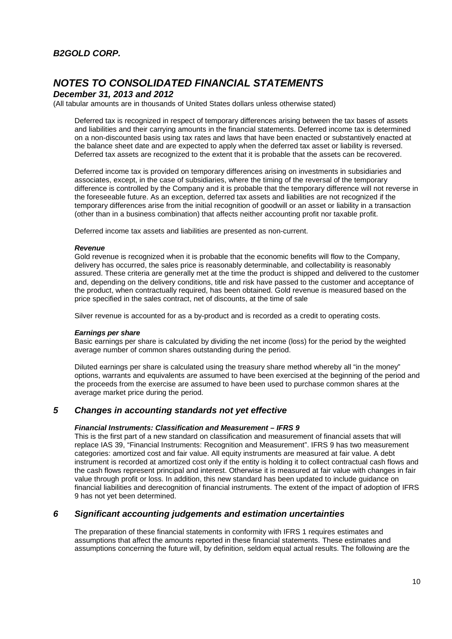### *December 31, 2013 and 2012*

(All tabular amounts are in thousands of United States dollars unless otherwise stated)

Deferred tax is recognized in respect of temporary differences arising between the tax bases of assets and liabilities and their carrying amounts in the financial statements. Deferred income tax is determined on a non-discounted basis using tax rates and laws that have been enacted or substantively enacted at the balance sheet date and are expected to apply when the deferred tax asset or liability is reversed. Deferred tax assets are recognized to the extent that it is probable that the assets can be recovered.

Deferred income tax is provided on temporary differences arising on investments in subsidiaries and associates, except, in the case of subsidiaries, where the timing of the reversal of the temporary difference is controlled by the Company and it is probable that the temporary difference will not reverse in the foreseeable future. As an exception, deferred tax assets and liabilities are not recognized if the temporary differences arise from the initial recognition of goodwill or an asset or liability in a transaction (other than in a business combination) that affects neither accounting profit nor taxable profit.

Deferred income tax assets and liabilities are presented as non-current.

### *Revenue*

Gold revenue is recognized when it is probable that the economic benefits will flow to the Company, delivery has occurred, the sales price is reasonably determinable, and collectability is reasonably assured. These criteria are generally met at the time the product is shipped and delivered to the customer and, depending on the delivery conditions, title and risk have passed to the customer and acceptance of the product, when contractually required, has been obtained. Gold revenue is measured based on the price specified in the sales contract, net of discounts, at the time of sale

Silver revenue is accounted for as a by-product and is recorded as a credit to operating costs.

### *Earnings per share*

Basic earnings per share is calculated by dividing the net income (loss) for the period by the weighted average number of common shares outstanding during the period.

Diluted earnings per share is calculated using the treasury share method whereby all "in the money" options, warrants and equivalents are assumed to have been exercised at the beginning of the period and the proceeds from the exercise are assumed to have been used to purchase common shares at the average market price during the period.

## *5 Changes in accounting standards not yet effective*

### *Financial Instruments: Classification and Measurement – IFRS 9*

This is the first part of a new standard on classification and measurement of financial assets that will replace IAS 39, "Financial Instruments: Recognition and Measurement". IFRS 9 has two measurement categories: amortized cost and fair value. All equity instruments are measured at fair value. A debt instrument is recorded at amortized cost only if the entity is holding it to collect contractual cash flows and the cash flows represent principal and interest. Otherwise it is measured at fair value with changes in fair value through profit or loss. In addition, this new standard has been updated to include guidance on financial liabilities and derecognition of financial instruments. The extent of the impact of adoption of IFRS 9 has not yet been determined.

## *6 Significant accounting judgements and estimation uncertainties*

The preparation of these financial statements in conformity with IFRS 1 requires estimates and assumptions that affect the amounts reported in these financial statements. These estimates and assumptions concerning the future will, by definition, seldom equal actual results. The following are the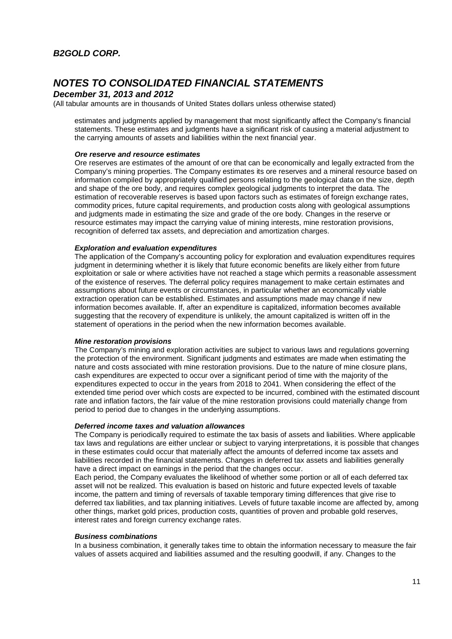*December 31, 2013 and 2012*

(All tabular amounts are in thousands of United States dollars unless otherwise stated)

estimates and judgments applied by management that most significantly affect the Company's financial statements. These estimates and judgments have a significant risk of causing a material adjustment to the carrying amounts of assets and liabilities within the next financial year.

#### *Ore reserve and resource estimates*

Ore reserves are estimates of the amount of ore that can be economically and legally extracted from the Company's mining properties. The Company estimates its ore reserves and a mineral resource based on information compiled by appropriately qualified persons relating to the geological data on the size, depth and shape of the ore body, and requires complex geological judgments to interpret the data. The estimation of recoverable reserves is based upon factors such as estimates of foreign exchange rates, commodity prices, future capital requirements, and production costs along with geological assumptions and judgments made in estimating the size and grade of the ore body. Changes in the reserve or resource estimates may impact the carrying value of mining interests, mine restoration provisions, recognition of deferred tax assets, and depreciation and amortization charges.

#### *Exploration and evaluation expenditures*

The application of the Company's accounting policy for exploration and evaluation expenditures requires judgment in determining whether it is likely that future economic benefits are likely either from future exploitation or sale or where activities have not reached a stage which permits a reasonable assessment of the existence of reserves. The deferral policy requires management to make certain estimates and assumptions about future events or circumstances, in particular whether an economically viable extraction operation can be established. Estimates and assumptions made may change if new information becomes available. If, after an expenditure is capitalized, information becomes available suggesting that the recovery of expenditure is unlikely, the amount capitalized is written off in the statement of operations in the period when the new information becomes available.

#### *Mine restoration provisions*

The Company's mining and exploration activities are subject to various laws and regulations governing the protection of the environment. Significant judgments and estimates are made when estimating the nature and costs associated with mine restoration provisions. Due to the nature of mine closure plans, cash expenditures are expected to occur over a significant period of time with the majority of the expenditures expected to occur in the years from 2018 to 2041. When considering the effect of the extended time period over which costs are expected to be incurred, combined with the estimated discount rate and inflation factors, the fair value of the mine restoration provisions could materially change from period to period due to changes in the underlying assumptions.

#### *Deferred income taxes and valuation allowances*

The Company is periodically required to estimate the tax basis of assets and liabilities. Where applicable tax laws and regulations are either unclear or subject to varying interpretations, it is possible that changes in these estimates could occur that materially affect the amounts of deferred income tax assets and liabilities recorded in the financial statements. Changes in deferred tax assets and liabilities generally have a direct impact on earnings in the period that the changes occur.

Each period, the Company evaluates the likelihood of whether some portion or all of each deferred tax asset will not be realized. This evaluation is based on historic and future expected levels of taxable income, the pattern and timing of reversals of taxable temporary timing differences that give rise to deferred tax liabilities, and tax planning initiatives. Levels of future taxable income are affected by, among other things, market gold prices, production costs, quantities of proven and probable gold reserves, interest rates and foreign currency exchange rates.

#### *Business combinations*

In a business combination, it generally takes time to obtain the information necessary to measure the fair values of assets acquired and liabilities assumed and the resulting goodwill, if any. Changes to the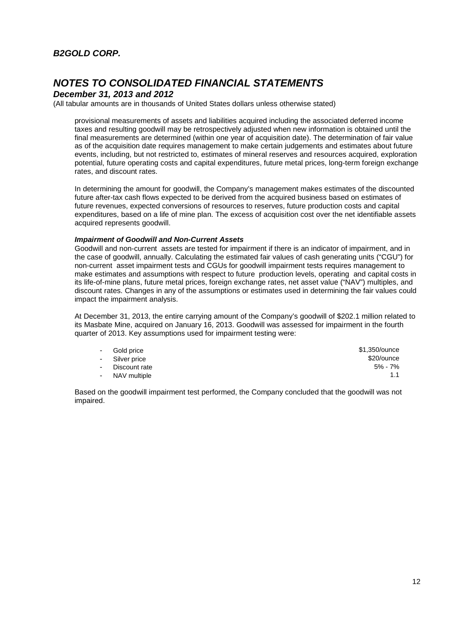## *B2GOLD CORP.*

# *NOTES TO CONSOLIDATED FINANCIAL STATEMENTS*

### *December 31, 2013 and 2012*

(All tabular amounts are in thousands of United States dollars unless otherwise stated)

provisional measurements of assets and liabilities acquired including the associated deferred income taxes and resulting goodwill may be retrospectively adjusted when new information is obtained until the final measurements are determined (within one year of acquisition date). The determination of fair value as of the acquisition date requires management to make certain judgements and estimates about future events, including, but not restricted to, estimates of mineral reserves and resources acquired, exploration potential, future operating costs and capital expenditures, future metal prices, long-term foreign exchange rates, and discount rates.

In determining the amount for goodwill, the Company's management makes estimates of the discounted future after-tax cash flows expected to be derived from the acquired business based on estimates of future revenues, expected conversions of resources to reserves, future production costs and capital expenditures, based on a life of mine plan. The excess of acquisition cost over the net identifiable assets acquired represents goodwill.

#### *Impairment of Goodwill and Non-Current Assets*

Goodwill and non-current assets are tested for impairment if there is an indicator of impairment, and in the case of goodwill, annually. Calculating the estimated fair values of cash generating units ("CGU") for non-current asset impairment tests and CGUs for goodwill impairment tests requires management to make estimates and assumptions with respect to future production levels, operating and capital costs in its life-of-mine plans, future metal prices, foreign exchange rates, net asset value ("NAV") multiples, and discount rates. Changes in any of the assumptions or estimates used in determining the fair values could impact the impairment analysis.

At December 31, 2013, the entire carrying amount of the Company's goodwill of \$202.1 million related to its Masbate Mine, acquired on January 16, 2013. Goodwill was assessed for impairment in the fourth quarter of 2013. Key assumptions used for impairment testing were:

| - Gold price    | \$1,350/ounce |
|-----------------|---------------|
| - Silver price  | \$20/ounce    |
| - Discount rate | $5\% - 7\%$   |
| - NAV multiple  | 11            |

Based on the goodwill impairment test performed, the Company concluded that the goodwill was not impaired.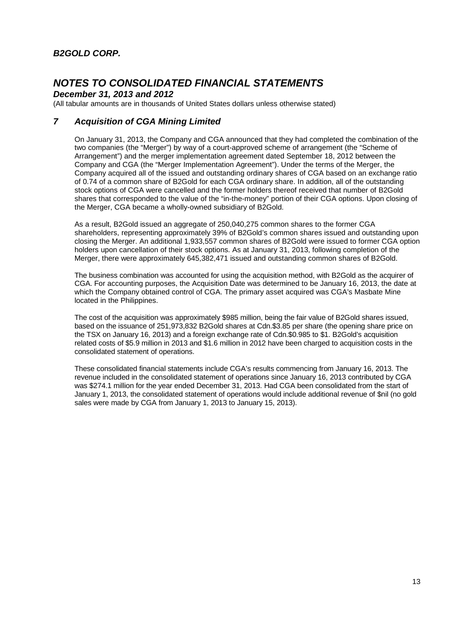*December 31, 2013 and 2012*

(All tabular amounts are in thousands of United States dollars unless otherwise stated)

## *7 Acquisition of CGA Mining Limited*

On January 31, 2013, the Company and CGA announced that they had completed the combination of the two companies (the "Merger") by way of a court-approved scheme of arrangement (the "Scheme of Arrangement") and the merger implementation agreement dated September 18, 2012 between the Company and CGA (the "Merger Implementation Agreement"). Under the terms of the Merger, the Company acquired all of the issued and outstanding ordinary shares of CGA based on an exchange ratio of 0.74 of a common share of B2Gold for each CGA ordinary share. In addition, all of the outstanding stock options of CGA were cancelled and the former holders thereof received that number of B2Gold shares that corresponded to the value of the "in-the-money" portion of their CGA options. Upon closing of the Merger, CGA became a wholly-owned subsidiary of B2Gold.

As a result, B2Gold issued an aggregate of 250,040,275 common shares to the former CGA shareholders, representing approximately 39% of B2Gold's common shares issued and outstanding upon closing the Merger. An additional 1,933,557 common shares of B2Gold were issued to former CGA option holders upon cancellation of their stock options. As at January 31, 2013, following completion of the Merger, there were approximately 645,382,471 issued and outstanding common shares of B2Gold.

The business combination was accounted for using the acquisition method, with B2Gold as the acquirer of CGA. For accounting purposes, the Acquisition Date was determined to be January 16, 2013, the date at which the Company obtained control of CGA. The primary asset acquired was CGA's Masbate Mine located in the Philippines.

The cost of the acquisition was approximately \$985 million, being the fair value of B2Gold shares issued, based on the issuance of 251,973,832 B2Gold shares at Cdn.\$3.85 per share (the opening share price on the TSX on January 16, 2013) and a foreign exchange rate of Cdn.\$0.985 to \$1. B2Gold's acquisition related costs of \$5.9 million in 2013 and \$1.6 million in 2012 have been charged to acquisition costs in the consolidated statement of operations.

These consolidated financial statements include CGA's results commencing from January 16, 2013. The revenue included in the consolidated statement of operations since January 16, 2013 contributed by CGA was \$274.1 million for the year ended December 31, 2013. Had CGA been consolidated from the start of January 1, 2013, the consolidated statement of operations would include additional revenue of \$nil (no gold sales were made by CGA from January 1, 2013 to January 15, 2013).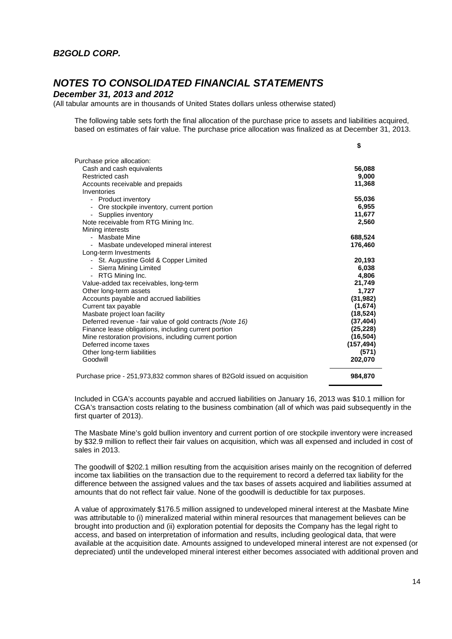### *December 31, 2013 and 2012*

(All tabular amounts are in thousands of United States dollars unless otherwise stated)

The following table sets forth the final allocation of the purchase price to assets and liabilities acquired, based on estimates of fair value. The purchase price allocation was finalized as at December 31, 2013.

|                                                                            | \$         |
|----------------------------------------------------------------------------|------------|
| Purchase price allocation:                                                 |            |
| Cash and cash equivalents                                                  | 56,088     |
| Restricted cash                                                            | 9,000      |
| Accounts receivable and prepaids                                           | 11,368     |
| Inventories                                                                |            |
| - Product inventory                                                        | 55,036     |
| - Ore stockpile inventory, current portion                                 | 6,955      |
| Supplies inventory                                                         | 11,677     |
| Note receivable from RTG Mining Inc.                                       | 2,560      |
| Mining interests                                                           |            |
| - Masbate Mine                                                             | 688,524    |
| Masbate undeveloped mineral interest                                       | 176,460    |
| Long-term Investments                                                      |            |
| - St. Augustine Gold & Copper Limited                                      | 20,193     |
| Sierra Mining Limited<br>$\sim$                                            | 6,038      |
| RTG Mining Inc.<br>$\sim$                                                  | 4,806      |
| Value-added tax receivables, long-term                                     | 21,749     |
| Other long-term assets                                                     | 1,727      |
| Accounts payable and accrued liabilities                                   | (31, 982)  |
| Current tax payable                                                        | (1,674)    |
| Masbate project loan facility                                              | (18, 524)  |
| Deferred revenue - fair value of gold contracts (Note 16)                  | (37, 404)  |
| Finance lease obligations, including current portion                       | (25, 228)  |
| Mine restoration provisions, including current portion                     | (16, 504)  |
| Deferred income taxes                                                      | (157, 494) |
| Other long-term liabilities                                                | (571)      |
| Goodwill                                                                   | 202,070    |
| Purchase price - 251,973,832 common shares of B2Gold issued on acquisition | 984,870    |
|                                                                            |            |

Included in CGA's accounts payable and accrued liabilities on January 16, 2013 was \$10.1 million for CGA's transaction costs relating to the business combination (all of which was paid subsequently in the first quarter of 2013).

The Masbate Mine's gold bullion inventory and current portion of ore stockpile inventory were increased by \$32.9 million to reflect their fair values on acquisition, which was all expensed and included in cost of sales in 2013.

The goodwill of \$202.1 million resulting from the acquisition arises mainly on the recognition of deferred income tax liabilities on the transaction due to the requirement to record a deferred tax liability for the difference between the assigned values and the tax bases of assets acquired and liabilities assumed at amounts that do not reflect fair value. None of the goodwill is deductible for tax purposes.

A value of approximately \$176.5 million assigned to undeveloped mineral interest at the Masbate Mine was attributable to (i) mineralized material within mineral resources that management believes can be brought into production and (ii) exploration potential for deposits the Company has the legal right to access, and based on interpretation of information and results, including geological data, that were available at the acquisition date. Amounts assigned to undeveloped mineral interest are not expensed (or depreciated) until the undeveloped mineral interest either becomes associated with additional proven and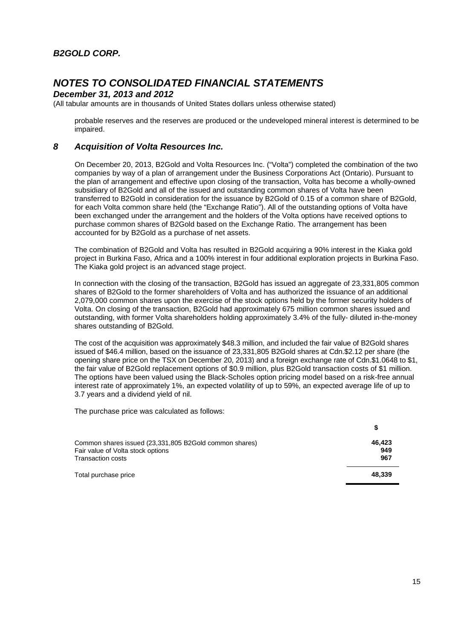### *December 31, 2013 and 2012*

(All tabular amounts are in thousands of United States dollars unless otherwise stated)

probable reserves and the reserves are produced or the undeveloped mineral interest is determined to be impaired.

### *8 Acquisition of Volta Resources Inc.*

On December 20, 2013, B2Gold and Volta Resources Inc. ("Volta") completed the combination of the two companies by way of a plan of arrangement under the Business Corporations Act (Ontario). Pursuant to the plan of arrangement and effective upon closing of the transaction, Volta has become a wholly-owned subsidiary of B2Gold and all of the issued and outstanding common shares of Volta have been transferred to B2Gold in consideration for the issuance by B2Gold of 0.15 of a common share of B2Gold, for each Volta common share held (the "Exchange Ratio"). All of the outstanding options of Volta have been exchanged under the arrangement and the holders of the Volta options have received options to purchase common shares of B2Gold based on the Exchange Ratio. The arrangement has been accounted for by B2Gold as a purchase of net assets.

The combination of B2Gold and Volta has resulted in B2Gold acquiring a 90% interest in the Kiaka gold project in Burkina Faso, Africa and a 100% interest in four additional exploration projects in Burkina Faso. The Kiaka gold project is an advanced stage project.

In connection with the closing of the transaction, B2Gold has issued an aggregate of 23,331,805 common shares of B2Gold to the former shareholders of Volta and has authorized the issuance of an additional 2,079,000 common shares upon the exercise of the stock options held by the former security holders of Volta. On closing of the transaction, B2Gold had approximately 675 million common shares issued and outstanding, with former Volta shareholders holding approximately 3.4% of the fully- diluted in-the-money shares outstanding of B2Gold.

The cost of the acquisition was approximately \$48.3 million, and included the fair value of B2Gold shares issued of \$46.4 million, based on the issuance of 23,331,805 B2Gold shares at Cdn.\$2.12 per share (the opening share price on the TSX on December 20, 2013) and a foreign exchange rate of Cdn.\$1.0648 to \$1, the fair value of B2Gold replacement options of \$0.9 million, plus B2Gold transaction costs of \$1 million. The options have been valued using the Black-Scholes option pricing model based on a risk-free annual interest rate of approximately 1%, an expected volatility of up to 59%, an expected average life of up to 3.7 years and a dividend yield of nil.

The purchase price was calculated as follows:

| Common shares issued (23,331,805 B2Gold common shares) | 46.423 |
|--------------------------------------------------------|--------|
| Fair value of Volta stock options                      | 949    |
| <b>Transaction costs</b>                               | 967    |
| Total purchase price                                   | 48.339 |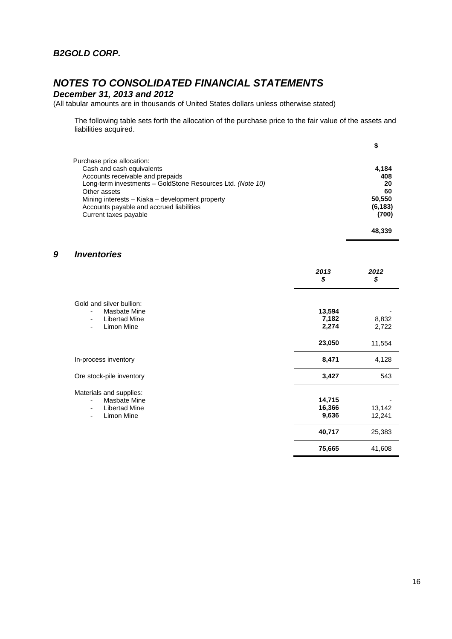## *B2GOLD CORP.*

# *NOTES TO CONSOLIDATED FINANCIAL STATEMENTS*

## *December 31, 2013 and 2012*

(All tabular amounts are in thousands of United States dollars unless otherwise stated)

The following table sets forth the allocation of the purchase price to the fair value of the assets and liabilities acquired.

|                                                                                                                                                                                                                                                                                                   |                                               | \$                                                                |
|---------------------------------------------------------------------------------------------------------------------------------------------------------------------------------------------------------------------------------------------------------------------------------------------------|-----------------------------------------------|-------------------------------------------------------------------|
| Purchase price allocation:<br>Cash and cash equivalents<br>Accounts receivable and prepaids<br>Long-term investments - GoldStone Resources Ltd. (Note 10)<br>Other assets<br>Mining interests - Kiaka - development property<br>Accounts payable and accrued liabilities<br>Current taxes payable |                                               | 4,184<br>408<br>20<br>60<br>50,550<br>(6, 183)<br>(700)<br>48,339 |
| <i><b>Inventories</b></i>                                                                                                                                                                                                                                                                         |                                               |                                                                   |
|                                                                                                                                                                                                                                                                                                   | 2013<br>\$                                    | 2012<br>\$                                                        |
| Gold and silver bullion:<br><b>Masbate Mine</b><br>÷,<br><b>Libertad Mine</b><br><b>Limon Mine</b>                                                                                                                                                                                                | 13,594<br>7,182<br>2,274                      | 8,832<br>2,722                                                    |
|                                                                                                                                                                                                                                                                                                   | 23,050                                        | 11,554                                                            |
| In-process inventory                                                                                                                                                                                                                                                                              | 8,471                                         | 4,128                                                             |
| Ore stock-pile inventory                                                                                                                                                                                                                                                                          | 3,427                                         | 543                                                               |
| Materials and supplies:<br><b>Masbate Mine</b><br><b>Libertad Mine</b><br><b>Limon Mine</b>                                                                                                                                                                                                       | 14,715<br>16,366<br>9,636<br>40,717<br>75,665 | 13,142<br>12,241<br>25,383<br>41,608                              |
|                                                                                                                                                                                                                                                                                                   |                                               |                                                                   |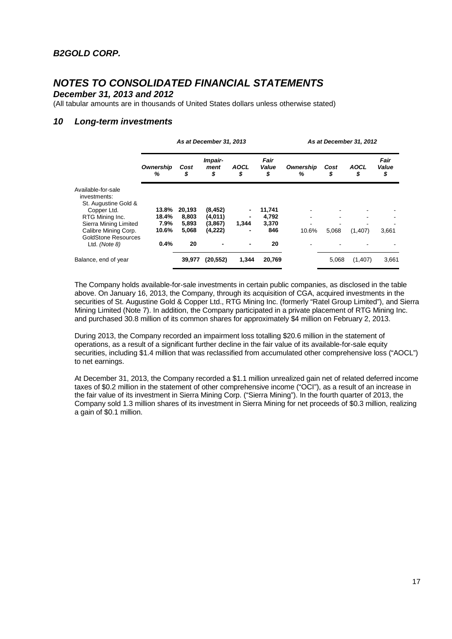### *December 31, 2013 and 2012*

(All tabular amounts are in thousands of United States dollars unless otherwise stated)

## *10 Long-term investments*

|                                                            |                |           | As at December 31, 2013 |                   | As at December 31, 2012 |                |            |                   |                     |  |
|------------------------------------------------------------|----------------|-----------|-------------------------|-------------------|-------------------------|----------------|------------|-------------------|---------------------|--|
|                                                            | Ownership<br>% | Cost<br>S | Impair-<br>ment<br>\$   | <b>AOCL</b><br>\$ | Fair<br>Value<br>\$     | Ownership<br>% | Cost<br>\$ | <b>AOCL</b><br>\$ | Fair<br>Value<br>\$ |  |
| Available-for-sale<br>investments:<br>St. Augustine Gold & |                |           |                         |                   |                         |                |            |                   |                     |  |
| Copper Ltd.                                                | 13.8%          | 20,193    | (8, 452)                | $\blacksquare$    | 11,741                  |                |            |                   |                     |  |
| RTG Mining Inc.                                            | 18.4%          | 8,803     | (4,011)                 | $\blacksquare$    | 4,792                   |                |            |                   |                     |  |
| Sierra Mining Limited                                      | 7.9%           | 5,893     | (3,867)                 | 1,344             | 3,370                   |                |            |                   |                     |  |
| Calibre Mining Corp.<br><b>GoldStone Resources</b>         | 10.6%          | 5,068     | (4,222)                 |                   | 846                     | 10.6%          | 5,068      | (1,407)           | 3,661               |  |
| Ltd. $(Note 8)$                                            | 0.4%           | 20        |                         | $\blacksquare$    | 20                      |                |            |                   |                     |  |
| Balance, end of year                                       |                | 39,977    | (20, 552)               | 1,344             | 20,769                  |                | 5,068      | (1,407)           | 3,661               |  |

The Company holds available-for-sale investments in certain public companies, as disclosed in the table above. On January 16, 2013, the Company, through its acquisition of CGA, acquired investments in the securities of St. Augustine Gold & Copper Ltd., RTG Mining Inc. (formerly "Ratel Group Limited"), and Sierra Mining Limited (Note 7). In addition, the Company participated in a private placement of RTG Mining Inc. and purchased 30.8 million of its common shares for approximately \$4 million on February 2, 2013.

During 2013, the Company recorded an impairment loss totalling \$20.6 million in the statement of operations, as a result of a significant further decline in the fair value of its available-for-sale equity securities, including \$1.4 million that was reclassified from accumulated other comprehensive loss ("AOCL") to net earnings.

At December 31, 2013, the Company recorded a \$1.1 million unrealized gain net of related deferred income taxes of \$0.2 million in the statement of other comprehensive income ("OCI"), as a result of an increase in the fair value of its investment in Sierra Mining Corp. ("Sierra Mining"). In the fourth quarter of 2013, the Company sold 1.3 million shares of its investment in Sierra Mining for net proceeds of \$0.3 million, realizing a gain of \$0.1 million.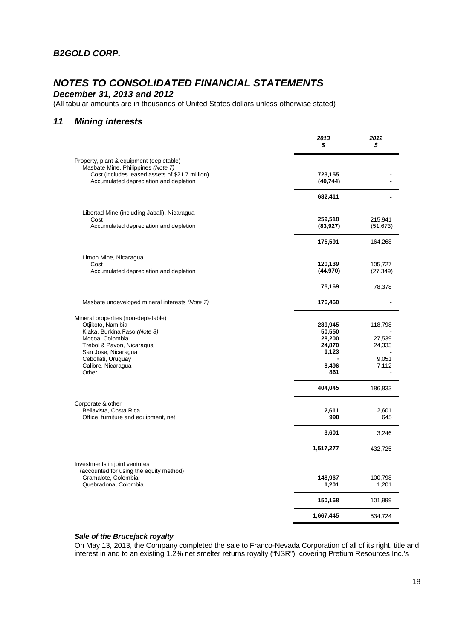## *December 31, 2013 and 2012*

(All tabular amounts are in thousands of United States dollars unless otherwise stated)

### *11 Mining interests*

|                                                                                                                                                                                                                      | 2013<br>\$                                                     | 2012<br>\$                                    |
|----------------------------------------------------------------------------------------------------------------------------------------------------------------------------------------------------------------------|----------------------------------------------------------------|-----------------------------------------------|
| Property, plant & equipment (depletable)<br>Masbate Mine, Philippines (Note 7)<br>Cost (includes leased assets of \$21.7 million)<br>Accumulated depreciation and depletion                                          | 723,155<br>(40, 744)                                           |                                               |
|                                                                                                                                                                                                                      | 682,411                                                        |                                               |
| Libertad Mine (including Jabali), Nicaragua<br>Cost<br>Accumulated depreciation and depletion                                                                                                                        | 259,518<br>(83, 927)                                           | 215,941<br>(51, 673)                          |
|                                                                                                                                                                                                                      | 175,591                                                        | 164,268                                       |
| Limon Mine, Nicaragua<br>Cost<br>Accumulated depreciation and depletion                                                                                                                                              | 120,139<br>(44, 970)                                           | 105,727<br>(27, 349)                          |
|                                                                                                                                                                                                                      | 75,169                                                         | 78,378                                        |
| Masbate undeveloped mineral interests (Note 7)                                                                                                                                                                       | 176,460                                                        |                                               |
| Mineral properties (non-depletable)<br>Otjikoto, Namibia<br>Kiaka, Burkina Faso (Note 8)<br>Mocoa, Colombia<br>Trebol & Pavon, Nicaragua<br>San Jose, Nicaragua<br>Cebollati, Uruguay<br>Calibre, Nicaragua<br>Other | 289,945<br>50,550<br>28,200<br>24,870<br>1,123<br>8,496<br>861 | 118,798<br>27,539<br>24,333<br>9,051<br>7,112 |
|                                                                                                                                                                                                                      | 404,045                                                        | 186,833                                       |
| Corporate & other<br>Bellavista, Costa Rica<br>Office, furniture and equipment, net                                                                                                                                  | 2,611<br>990                                                   | 2,601<br>645                                  |
|                                                                                                                                                                                                                      | 3,601                                                          | 3,246                                         |
|                                                                                                                                                                                                                      | 1,517,277                                                      | 432,725                                       |
| Investments in joint ventures<br>(accounted for using the equity method)<br>Gramalote, Colombia<br>Quebradona, Colombia                                                                                              | 148,967<br>1,201                                               | 100,798<br>1,201                              |
|                                                                                                                                                                                                                      | 150,168                                                        | 101,999                                       |
|                                                                                                                                                                                                                      | 1,667,445                                                      | 534,724                                       |

#### *Sale of the Brucejack royalty*

On May 13, 2013, the Company completed the sale to Franco-Nevada Corporation of all of its right, title and interest in and to an existing 1.2% net smelter returns royalty ("NSR"), covering Pretium Resources Inc.'s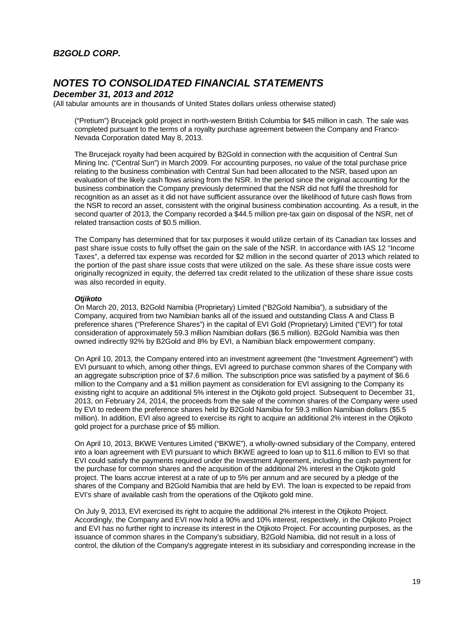*December 31, 2013 and 2012*

(All tabular amounts are in thousands of United States dollars unless otherwise stated)

("Pretium") Brucejack gold project in north-western British Columbia for \$45 million in cash. The sale was completed pursuant to the terms of a royalty purchase agreement between the Company and Franco-Nevada Corporation dated May 8, 2013.

The Brucejack royalty had been acquired by B2Gold in connection with the acquisition of Central Sun Mining Inc. ("Central Sun") in March 2009. For accounting purposes, no value of the total purchase price relating to the business combination with Central Sun had been allocated to the NSR, based upon an evaluation of the likely cash flows arising from the NSR. In the period since the original accounting for the business combination the Company previously determined that the NSR did not fulfil the threshold for recognition as an asset as it did not have sufficient assurance over the likelihood of future cash flows from the NSR to record an asset, consistent with the original business combination accounting. As a result, in the second quarter of 2013, the Company recorded a \$44.5 million pre-tax gain on disposal of the NSR, net of related transaction costs of \$0.5 million.

The Company has determined that for tax purposes it would utilize certain of its Canadian tax losses and past share issue costs to fully offset the gain on the sale of the NSR. In accordance with IAS 12 "Income Taxes", a deferred tax expense was recorded for \$2 million in the second quarter of 2013 which related to the portion of the past share issue costs that were utilized on the sale. As these share issue costs were originally recognized in equity, the deferred tax credit related to the utilization of these share issue costs was also recorded in equity.

### *Otjikoto*

On March 20, 2013, B2Gold Namibia (Proprietary) Limited ("B2Gold Namibia"), a subsidiary of the Company, acquired from two Namibian banks all of the issued and outstanding Class A and Class B preference shares ("Preference Shares") in the capital of EVI Gold (Proprietary) Limited ("EVI") for total consideration of approximately 59.3 million Namibian dollars (\$6.5 million). B2Gold Namibia was then owned indirectly 92% by B2Gold and 8% by EVI, a Namibian black empowerment company.

On April 10, 2013, the Company entered into an investment agreement (the "Investment Agreement") with EVI pursuant to which, among other things, EVI agreed to purchase common shares of the Company with an aggregate subscription price of \$7.6 million. The subscription price was satisfied by a payment of \$6.6 million to the Company and a \$1 million payment as consideration for EVI assigning to the Company its existing right to acquire an additional 5% interest in the Otjikoto gold project. Subsequent to December 31, 2013, on February 24, 2014, the proceeds from the sale of the common shares of the Company were used by EVI to redeem the preference shares held by B2Gold Namibia for 59.3 million Namibian dollars (\$5.5 million). In addition, EVI also agreed to exercise its right to acquire an additional 2% interest in the Otjikoto gold project for a purchase price of \$5 million.

On April 10, 2013, BKWE Ventures Limited ("BKWE"), a wholly-owned subsidiary of the Company, entered into a loan agreement with EVI pursuant to which BKWE agreed to loan up to \$11.6 million to EVI so that EVI could satisfy the payments required under the Investment Agreement, including the cash payment for the purchase for common shares and the acquisition of the additional 2% interest in the Otjikoto gold project. The loans accrue interest at a rate of up to 5% per annum and are secured by a pledge of the shares of the Company and B2Gold Namibia that are held by EVI. The loan is expected to be repaid from EVI's share of available cash from the operations of the Otjikoto gold mine.

On July 9, 2013, EVI exercised its right to acquire the additional 2% interest in the Otiikoto Project. Accordingly, the Company and EVI now hold a 90% and 10% interest, respectively, in the Otjikoto Project and EVI has no further right to increase its interest in the Otjikoto Project. For accounting purposes, as the issuance of common shares in the Company's subsidiary, B2Gold Namibia, did not result in a loss of control, the dilution of the Company's aggregate interest in its subsidiary and corresponding increase in the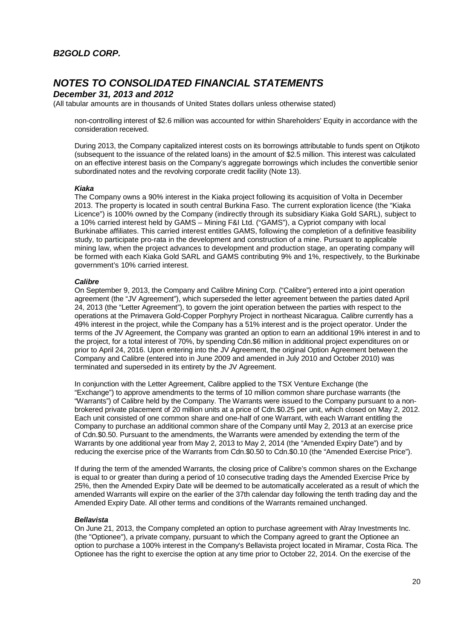### *December 31, 2013 and 2012*

(All tabular amounts are in thousands of United States dollars unless otherwise stated)

non-controlling interest of \$2.6 million was accounted for within Shareholders' Equity in accordance with the consideration received.

During 2013, the Company capitalized interest costs on its borrowings attributable to funds spent on Otjikoto (subsequent to the issuance of the related loans) in the amount of \$2.5 million. This interest was calculated on an effective interest basis on the Company's aggregate borrowings which includes the convertible senior subordinated notes and the revolving corporate credit facility (Note 13).

#### *Kiaka*

The Company owns a 90% interest in the Kiaka project following its acquisition of Volta in December 2013. The property is located in south central Burkina Faso. The current exploration licence (the "Kiaka Licence") is 100% owned by the Company (indirectly through its subsidiary Kiaka Gold SARL), subject to a 10% carried interest held by GAMS – Mining F&I Ltd. ("GAMS"), a Cypriot company with local Burkinabe affiliates. This carried interest entitles GAMS, following the completion of a definitive feasibility study, to participate pro-rata in the development and construction of a mine. Pursuant to applicable mining law, when the project advances to development and production stage, an operating company will be formed with each Kiaka Gold SARL and GAMS contributing 9% and 1%, respectively, to the Burkinabe government's 10% carried interest.

#### *Calibre*

On September 9, 2013, the Company and Calibre Mining Corp. ("Calibre") entered into a joint operation agreement (the "JV Agreement"), which superseded the letter agreement between the parties dated April 24, 2013 (the "Letter Agreement"), to govern the joint operation between the parties with respect to the operations at the Primavera Gold-Copper Porphyry Project in northeast Nicaragua. Calibre currently has a 49% interest in the project, while the Company has a 51% interest and is the project operator. Under the terms of the JV Agreement, the Company was granted an option to earn an additional 19% interest in and to the project, for a total interest of 70%, by spending Cdn.\$6 million in additional project expenditures on or prior to April 24, 2016. Upon entering into the JV Agreement, the original Option Agreement between the Company and Calibre (entered into in June 2009 and amended in July 2010 and October 2010) was terminated and superseded in its entirety by the JV Agreement.

In conjunction with the Letter Agreement, Calibre applied to the TSX Venture Exchange (the "Exchange") to approve amendments to the terms of 10 million common share purchase warrants (the "Warrants") of Calibre held by the Company. The Warrants were issued to the Company pursuant to a nonbrokered private placement of 20 million units at a price of Cdn.\$0.25 per unit, which closed on May 2, 2012. Each unit consisted of one common share and one-half of one Warrant, with each Warrant entitling the Company to purchase an additional common share of the Company until May 2, 2013 at an exercise price of Cdn.\$0.50. Pursuant to the amendments, the Warrants were amended by extending the term of the Warrants by one additional year from May 2, 2013 to May 2, 2014 (the "Amended Expiry Date") and by reducing the exercise price of the Warrants from Cdn.\$0.50 to Cdn.\$0.10 (the "Amended Exercise Price").

If during the term of the amended Warrants, the closing price of Calibre's common shares on the Exchange is equal to or greater than during a period of 10 consecutive trading days the Amended Exercise Price by 25%, then the Amended Expiry Date will be deemed to be automatically accelerated as a result of which the amended Warrants will expire on the earlier of the 37th calendar day following the tenth trading day and the Amended Expiry Date. All other terms and conditions of the Warrants remained unchanged.

#### *Bellavista*

On June 21, 2013, the Company completed an option to purchase agreement with Alray Investments Inc. (the "Optionee"), a private company, pursuant to which the Company agreed to grant the Optionee an option to purchase a 100% interest in the Company's Bellavista project located in Miramar, Costa Rica. The Optionee has the right to exercise the option at any time prior to October 22, 2014. On the exercise of the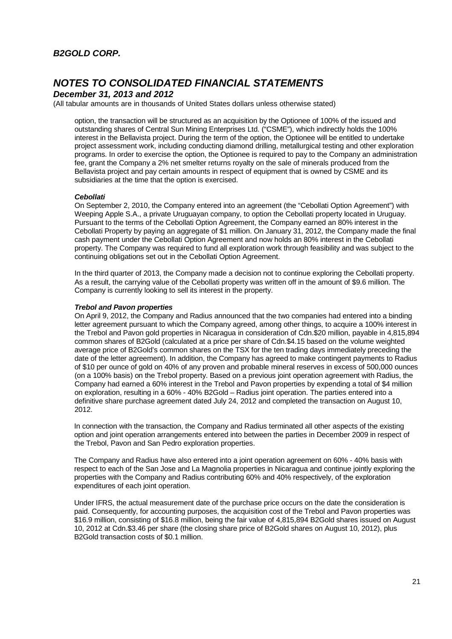*December 31, 2013 and 2012*

(All tabular amounts are in thousands of United States dollars unless otherwise stated)

option, the transaction will be structured as an acquisition by the Optionee of 100% of the issued and outstanding shares of Central Sun Mining Enterprises Ltd. ("CSME"), which indirectly holds the 100% interest in the Bellavista project. During the term of the option, the Optionee will be entitled to undertake project assessment work, including conducting diamond drilling, metallurgical testing and other exploration programs. In order to exercise the option, the Optionee is required to pay to the Company an administration fee, grant the Company a 2% net smelter returns royalty on the sale of minerals produced from the Bellavista project and pay certain amounts in respect of equipment that is owned by CSME and its subsidiaries at the time that the option is exercised.

### *Cebollati*

On September 2, 2010, the Company entered into an agreement (the "Cebollati Option Agreement") with Weeping Apple S.A., a private Uruguayan company, to option the Cebollati property located in Uruguay. Pursuant to the terms of the Cebollati Option Agreement, the Company earned an 80% interest in the Cebollati Property by paying an aggregate of \$1 million. On January 31, 2012, the Company made the final cash payment under the Cebollati Option Agreement and now holds an 80% interest in the Cebollati property. The Company was required to fund all exploration work through feasibility and was subject to the continuing obligations set out in the Cebollati Option Agreement.

In the third quarter of 2013, the Company made a decision not to continue exploring the Cebollati property. As a result, the carrying value of the Cebollati property was written off in the amount of \$9.6 million. The Company is currently looking to sell its interest in the property.

#### *Trebol and Pavon properties*

On April 9, 2012, the Company and Radius announced that the two companies had entered into a binding letter agreement pursuant to which the Company agreed, among other things, to acquire a 100% interest in the Trebol and Pavon gold properties in Nicaragua in consideration of Cdn.\$20 million, payable in 4,815,894 common shares of B2Gold (calculated at a price per share of Cdn.\$4.15 based on the volume weighted average price of B2Gold's common shares on the TSX for the ten trading days immediately preceding the date of the letter agreement). In addition, the Company has agreed to make contingent payments to Radius of \$10 per ounce of gold on 40% of any proven and probable mineral reserves in excess of 500,000 ounces (on a 100% basis) on the Trebol property. Based on a previous joint operation agreement with Radius, the Company had earned a 60% interest in the Trebol and Pavon properties by expending a total of \$4 million on exploration, resulting in a 60% - 40% B2Gold – Radius joint operation. The parties entered into a definitive share purchase agreement dated July 24, 2012 and completed the transaction on August 10, 2012.

In connection with the transaction, the Company and Radius terminated all other aspects of the existing option and joint operation arrangements entered into between the parties in December 2009 in respect of the Trebol, Pavon and San Pedro exploration properties.

The Company and Radius have also entered into a joint operation agreement on 60% - 40% basis with respect to each of the San Jose and La Magnolia properties in Nicaragua and continue jointly exploring the properties with the Company and Radius contributing 60% and 40% respectively, of the exploration expenditures of each joint operation.

Under IFRS, the actual measurement date of the purchase price occurs on the date the consideration is paid. Consequently, for accounting purposes, the acquisition cost of the Trebol and Pavon properties was \$16.9 million, consisting of \$16.8 million, being the fair value of 4,815,894 B2Gold shares issued on August 10, 2012 at Cdn.\$3.46 per share (the closing share price of B2Gold shares on August 10, 2012), plus B2Gold transaction costs of \$0.1 million.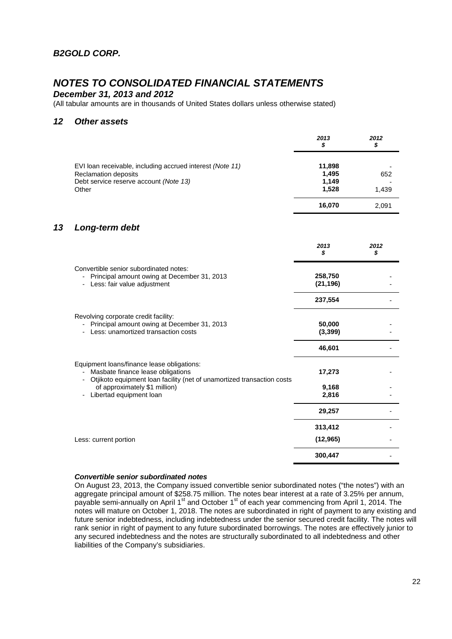*December 31, 2013 and 2012*

(All tabular amounts are in thousands of United States dollars unless otherwise stated)

### *12 Other assets*

*13 Long-term debt*

|                                                                                                                                                           | 2013<br>\$                        | 2012<br>\$   |
|-----------------------------------------------------------------------------------------------------------------------------------------------------------|-----------------------------------|--------------|
| EVI loan receivable, including accrued interest (Note 11)<br><b>Reclamation deposits</b><br>Debt service reserve account (Note 13)<br>Other               | 11,898<br>1,495<br>1,149<br>1,528 | 652<br>1,439 |
|                                                                                                                                                           | 16,070                            | 2,091        |
| Long-term debt                                                                                                                                            |                                   |              |
|                                                                                                                                                           | 2013<br>\$                        | 2012<br>\$   |
| Convertible senior subordinated notes:<br>Principal amount owing at December 31, 2013<br>Less: fair value adjustment<br>÷                                 | 258,750<br>(21, 196)              |              |
|                                                                                                                                                           | 237,554                           |              |
| Revolving corporate credit facility:<br>- Principal amount owing at December 31, 2013<br>Less: unamortized transaction costs                              | 50,000<br>(3, 399)                |              |
|                                                                                                                                                           | 46,601                            |              |
| Equipment loans/finance lease obligations:<br>Masbate finance lease obligations<br>Otjikoto equipment loan facility (net of unamortized transaction costs | 17,273                            |              |
| of approximately \$1 million)<br>Libertad equipment loan                                                                                                  | 9,168<br>2,816                    |              |
|                                                                                                                                                           | 29,257                            |              |
|                                                                                                                                                           | 313,412                           |              |
| Less: current portion                                                                                                                                     | (12, 965)                         |              |
|                                                                                                                                                           | 300,447                           |              |

#### *Convertible senior subordinated notes*

On August 23, 2013, the Company issued convertible senior subordinated notes ("the notes") with an aggregate principal amount of \$258.75 million. The notes bear interest at a rate of 3.25% per annum, payable semi-annually on April 1st and October 1st of each year commencing from April 1, 2014. The notes will mature on October 1, 2018. The notes are subordinated in right of payment to any existing and future senior indebtedness, including indebtedness under the senior secured credit facility. The notes will rank senior in right of payment to any future subordinated borrowings. The notes are effectively junior to any secured indebtedness and the notes are structurally subordinated to all indebtedness and other liabilities of the Company's subsidiaries.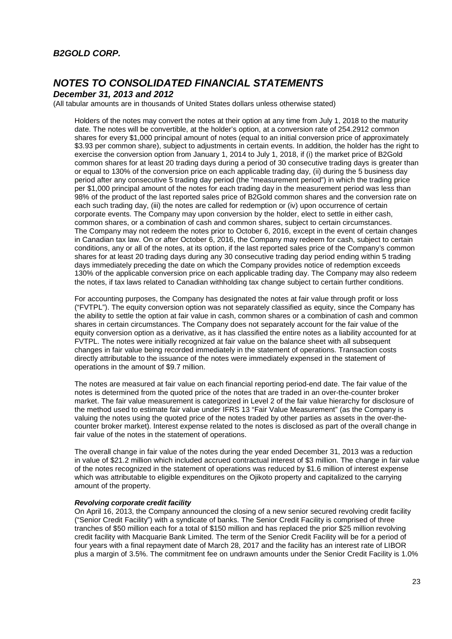## *B2GOLD CORP.*

## *NOTES TO CONSOLIDATED FINANCIAL STATEMENTS*

*December 31, 2013 and 2012*

(All tabular amounts are in thousands of United States dollars unless otherwise stated)

Holders of the notes may convert the notes at their option at any time from July 1, 2018 to the maturity date. The notes will be convertible, at the holder's option, at a conversion rate of 254.2912 common shares for every \$1,000 principal amount of notes (equal to an initial conversion price of approximately \$3.93 per common share), subject to adjustments in certain events. In addition, the holder has the right to exercise the conversion option from January 1, 2014 to July 1, 2018, if (i) the market price of B2Gold common shares for at least 20 trading days during a period of 30 consecutive trading days is greater than or equal to 130% of the conversion price on each applicable trading day, (ii) during the 5 business day period after any consecutive 5 trading day period (the "measurement period") in which the trading price per \$1,000 principal amount of the notes for each trading day in the measurement period was less than 98% of the product of the last reported sales price of B2Gold common shares and the conversion rate on each such trading day, (iii) the notes are called for redemption or (iv) upon occurrence of certain corporate events. The Company may upon conversion by the holder, elect to settle in either cash, common shares, or a combination of cash and common shares, subject to certain circumstances. The Company may not redeem the notes prior to October 6, 2016, except in the event of certain changes in Canadian tax law. On or after October 6, 2016, the Company may redeem for cash, subject to certain conditions, any or all of the notes, at its option, if the last reported sales price of the Company's common shares for at least 20 trading days during any 30 consecutive trading day period ending within 5 trading days immediately preceding the date on which the Company provides notice of redemption exceeds 130% of the applicable conversion price on each applicable trading day. The Company may also redeem the notes, if tax laws related to Canadian withholding tax change subject to certain further conditions.

For accounting purposes, the Company has designated the notes at fair value through profit or loss ("FVTPL"). The equity conversion option was not separately classified as equity, since the Company has the ability to settle the option at fair value in cash, common shares or a combination of cash and common shares in certain circumstances. The Company does not separately account for the fair value of the equity conversion option as a derivative, as it has classified the entire notes as a liability accounted for at FVTPL. The notes were initially recognized at fair value on the balance sheet with all subsequent changes in fair value being recorded immediately in the statement of operations. Transaction costs directly attributable to the issuance of the notes were immediately expensed in the statement of operations in the amount of \$9.7 million.

The notes are measured at fair value on each financial reporting period-end date. The fair value of the notes is determined from the quoted price of the notes that are traded in an over-the-counter broker market. The fair value measurement is categorized in Level 2 of the fair value hierarchy for disclosure of the method used to estimate fair value under IFRS 13 "Fair Value Measurement" (as the Company is valuing the notes using the quoted price of the notes traded by other parties as assets in the over-thecounter broker market). Interest expense related to the notes is disclosed as part of the overall change in fair value of the notes in the statement of operations.

The overall change in fair value of the notes during the year ended December 31, 2013 was a reduction in value of \$21.2 million which included accrued contractual interest of \$3 million. The change in fair value of the notes recognized in the statement of operations was reduced by \$1.6 million of interest expense which was attributable to eligible expenditures on the Ojikoto property and capitalized to the carrying amount of the property.

#### *Revolving corporate credit facility*

On April 16, 2013, the Company announced the closing of a new senior secured revolving credit facility ("Senior Credit Facility") with a syndicate of banks. The Senior Credit Facility is comprised of three tranches of \$50 million each for a total of \$150 million and has replaced the prior \$25 million revolving credit facility with Macquarie Bank Limited. The term of the Senior Credit Facility will be for a period of four years with a final repayment date of March 28, 2017 and the facility has an interest rate of LIBOR plus a margin of 3.5%. The commitment fee on undrawn amounts under the Senior Credit Facility is 1.0%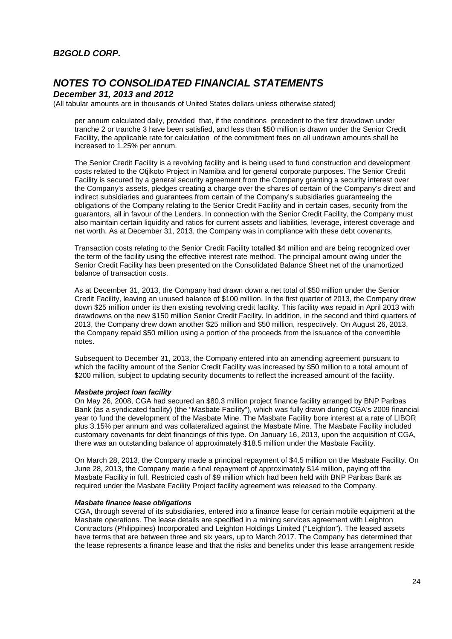## *B2GOLD CORP.*

## *NOTES TO CONSOLIDATED FINANCIAL STATEMENTS*

*December 31, 2013 and 2012*

(All tabular amounts are in thousands of United States dollars unless otherwise stated)

per annum calculated daily, provided that, if the conditions precedent to the first drawdown under tranche 2 or tranche 3 have been satisfied, and less than \$50 million is drawn under the Senior Credit Facility, the applicable rate for calculation of the commitment fees on all undrawn amounts shall be increased to 1.25% per annum.

The Senior Credit Facility is a revolving facility and is being used to fund construction and development costs related to the Otjikoto Project in Namibia and for general corporate purposes. The Senior Credit Facility is secured by a general security agreement from the Company granting a security interest over the Company's assets, pledges creating a charge over the shares of certain of the Company's direct and indirect subsidiaries and guarantees from certain of the Company's subsidiaries guaranteeing the obligations of the Company relating to the Senior Credit Facility and in certain cases, security from the guarantors, all in favour of the Lenders. In connection with the Senior Credit Facility, the Company must also maintain certain liquidity and ratios for current assets and liabilities, leverage, interest coverage and net worth. As at December 31, 2013, the Company was in compliance with these debt covenants.

Transaction costs relating to the Senior Credit Facility totalled \$4 million and are being recognized over the term of the facility using the effective interest rate method. The principal amount owing under the Senior Credit Facility has been presented on the Consolidated Balance Sheet net of the unamortized balance of transaction costs.

As at December 31, 2013, the Company had drawn down a net total of \$50 million under the Senior Credit Facility, leaving an unused balance of \$100 million. In the first quarter of 2013, the Company drew down \$25 million under its then existing revolving credit facility. This facility was repaid in April 2013 with drawdowns on the new \$150 million Senior Credit Facility. In addition, in the second and third quarters of 2013, the Company drew down another \$25 million and \$50 million, respectively. On August 26, 2013, the Company repaid \$50 million using a portion of the proceeds from the issuance of the convertible notes.

Subsequent to December 31, 2013, the Company entered into an amending agreement pursuant to which the facility amount of the Senior Credit Facility was increased by \$50 million to a total amount of \$200 million, subject to updating security documents to reflect the increased amount of the facility.

#### *Masbate project loan facility*

On May 26, 2008, CGA had secured an \$80.3 million project finance facility arranged by BNP Paribas Bank (as a syndicated facility) (the "Masbate Facility"), which was fully drawn during CGA's 2009 financial year to fund the development of the Masbate Mine. The Masbate Facility bore interest at a rate of LIBOR plus 3.15% per annum and was collateralized against the Masbate Mine. The Masbate Facility included customary covenants for debt financings of this type. On January 16, 2013, upon the acquisition of CGA, there was an outstanding balance of approximately \$18.5 million under the Masbate Facility.

On March 28, 2013, the Company made a principal repayment of \$4.5 million on the Masbate Facility. On June 28, 2013, the Company made a final repayment of approximately \$14 million, paying off the Masbate Facility in full. Restricted cash of \$9 million which had been held with BNP Paribas Bank as required under the Masbate Facility Project facility agreement was released to the Company.

#### *Masbate finance lease obligations*

CGA, through several of its subsidiaries, entered into a finance lease for certain mobile equipment at the Masbate operations. The lease details are specified in a mining services agreement with Leighton Contractors (Philippines) Incorporated and Leighton Holdings Limited ("Leighton"). The leased assets have terms that are between three and six years, up to March 2017. The Company has determined that the lease represents a finance lease and that the risks and benefits under this lease arrangement reside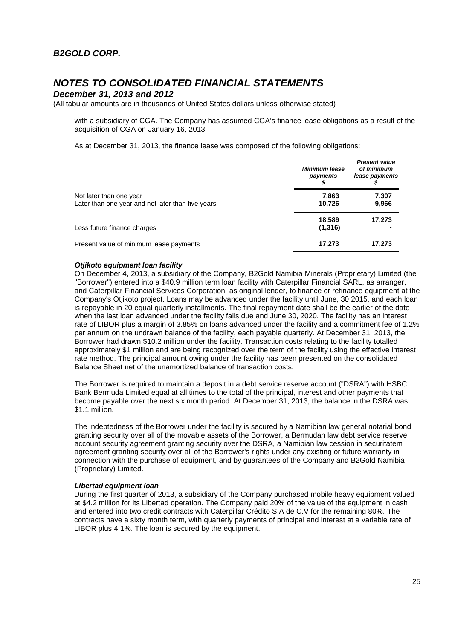### *December 31, 2013 and 2012*

(All tabular amounts are in thousands of United States dollars unless otherwise stated)

with a subsidiary of CGA. The Company has assumed CGA's finance lease obligations as a result of the acquisition of CGA on January 16, 2013.

As at December 31, 2013, the finance lease was composed of the following obligations:

|                                                                              | <b>Minimum lease</b><br>payments | <b>Present value</b><br>of minimum<br>lease payments |
|------------------------------------------------------------------------------|----------------------------------|------------------------------------------------------|
| Not later than one year<br>Later than one year and not later than five years | 7,863<br>10,726                  | 7,307<br>9,966                                       |
| Less future finance charges                                                  | 18,589<br>(1, 316)               | 17,273                                               |
| Present value of minimum lease payments                                      | 17,273                           | 17,273                                               |

#### *Otjikoto equipment loan facility*

On December 4, 2013, a subsidiary of the Company, B2Gold Namibia Minerals (Proprietary) Limited (the "Borrower") entered into a \$40.9 million term loan facility with Caterpillar Financial SARL, as arranger, and Caterpillar Financial Services Corporation, as original lender, to finance or refinance equipment at the Company's Otjikoto project. Loans may be advanced under the facility until June, 30 2015, and each loan is repayable in 20 equal quarterly installments. The final repayment date shall be the earlier of the date when the last loan advanced under the facility falls due and June 30, 2020. The facility has an interest rate of LIBOR plus a margin of 3.85% on loans advanced under the facility and a commitment fee of 1.2% per annum on the undrawn balance of the facility, each payable quarterly. At December 31, 2013, the Borrower had drawn \$10.2 million under the facility. Transaction costs relating to the facility totalled approximately \$1 million and are being recognized over the term of the facility using the effective interest rate method. The principal amount owing under the facility has been presented on the consolidated Balance Sheet net of the unamortized balance of transaction costs.

The Borrower is required to maintain a deposit in a debt service reserve account ("DSRA") with HSBC Bank Bermuda Limited equal at all times to the total of the principal, interest and other payments that become payable over the next six month period. At December 31, 2013, the balance in the DSRA was \$1.1 million.

The indebtedness of the Borrower under the facility is secured by a Namibian law general notarial bond granting security over all of the movable assets of the Borrower, a Bermudan law debt service reserve account security agreement granting security over the DSRA, a Namibian law cession in securitatem agreement granting security over all of the Borrower's rights under any existing or future warranty in connection with the purchase of equipment, and by guarantees of the Company and B2Gold Namibia (Proprietary) Limited.

#### *Libertad equipment loan*

During the first quarter of 2013, a subsidiary of the Company purchased mobile heavy equipment valued at \$4.2 million for its Libertad operation. The Company paid 20% of the value of the equipment in cash and entered into two credit contracts with Caterpillar Crédito S.A de C.V for the remaining 80%. The contracts have a sixty month term, with quarterly payments of principal and interest at a variable rate of LIBOR plus 4.1%. The loan is secured by the equipment.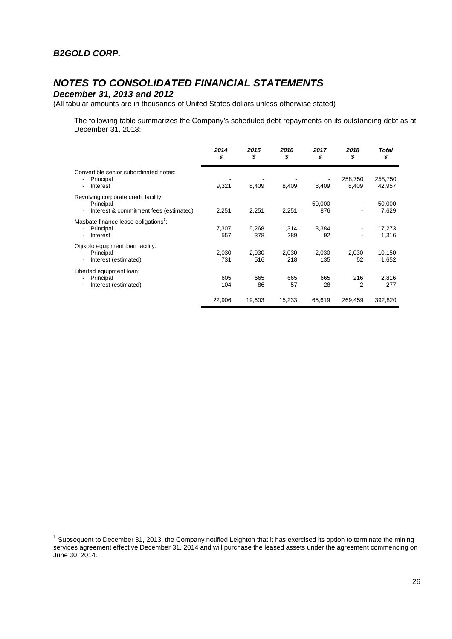### *December 31, 2013 and 2012*

(All tabular amounts are in thousands of United States dollars unless otherwise stated)

The following table summarizes the Company's scheduled debt repayments on its outstanding debt as at December 31, 2013:

|                                                                                                                              | 2014<br>\$   | 2015<br>\$   | 2016<br>\$   | 2017<br>\$    | 2018<br>\$       | Total<br>\$       |
|------------------------------------------------------------------------------------------------------------------------------|--------------|--------------|--------------|---------------|------------------|-------------------|
| Convertible senior subordinated notes:<br>Principal<br>Interest<br>$\overline{\phantom{m}}$                                  | 9,321        | 8,409        | 8,409        | 8,409         | 258,750<br>8,409 | 258,750<br>42,957 |
| Revolving corporate credit facility:<br>Principal<br>-<br>Interest & commitment fees (estimated)<br>$\overline{\phantom{m}}$ | 2,251        | 2,251        | 2,251        | 50,000<br>876 | ۰<br>۰           | 50,000<br>7,629   |
| Masbate finance lease obligations <sup>1</sup> :<br>Principal<br>$\overline{\phantom{m}}$<br>Interest                        | 7,307<br>557 | 5,268<br>378 | 1,314<br>289 | 3,384<br>92   |                  | 17,273<br>1,316   |
| Otjikoto equipment loan facility:<br>Principal<br>Interest (estimated)<br>۰                                                  | 2,030<br>731 | 2,030<br>516 | 2,030<br>218 | 2,030<br>135  | 2,030<br>52      | 10,150<br>1,652   |
| Libertad equipment loan:<br>Principal<br>Interest (estimated)                                                                | 605<br>104   | 665<br>86    | 665<br>57    | 665<br>28     | 216<br>2         | 2,816<br>277      |
|                                                                                                                              | 22,906       | 19,603       | 15,233       | 65,619        | 269,459          | 392,820           |

 $1$  Subsequent to December 31, 2013, the Company notified Leighton that it has exercised its option to terminate the mining services agreement effective December 31, 2014 and will purchase the leased assets under the agreement commencing on June 30, 2014.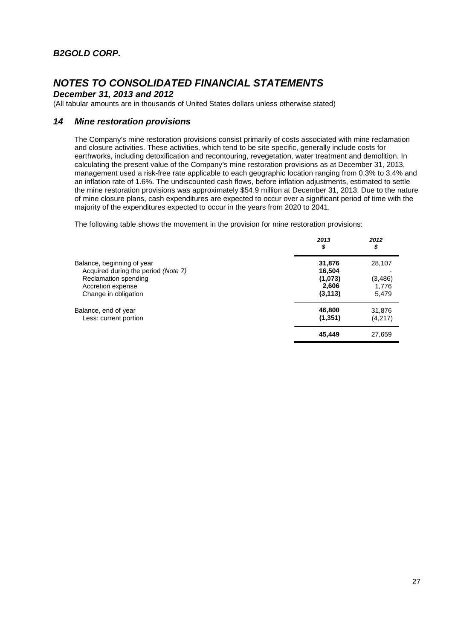*December 31, 2013 and 2012*

(All tabular amounts are in thousands of United States dollars unless otherwise stated)

## *14 Mine restoration provisions*

The Company's mine restoration provisions consist primarily of costs associated with mine reclamation and closure activities. These activities, which tend to be site specific, generally include costs for earthworks, including detoxification and recontouring, revegetation, water treatment and demolition. In calculating the present value of the Company's mine restoration provisions as at December 31, 2013, management used a risk-free rate applicable to each geographic location ranging from 0.3% to 3.4% and an inflation rate of 1.6%. The undiscounted cash flows, before inflation adjustments, estimated to settle the mine restoration provisions was approximately \$54.9 million at December 31, 2013. Due to the nature of mine closure plans, cash expenditures are expected to occur over a significant period of time with the majority of the expenditures expected to occur in the years from 2020 to 2041.

The following table shows the movement in the provision for mine restoration provisions:

|                                                                   | 2013<br>\$         | 2012<br>\$        |
|-------------------------------------------------------------------|--------------------|-------------------|
| Balance, beginning of year<br>Acquired during the period (Note 7) | 31,876<br>16,504   | 28,107            |
| <b>Reclamation spending</b><br>Accretion expense                  | (1,073)<br>2,606   | (3,486)<br>1,776  |
| Change in obligation                                              | (3, 113)           | 5,479             |
| Balance, end of year<br>Less: current portion                     | 46,800<br>(1, 351) | 31,876<br>(4,217) |
|                                                                   | 45,449             | 27,659            |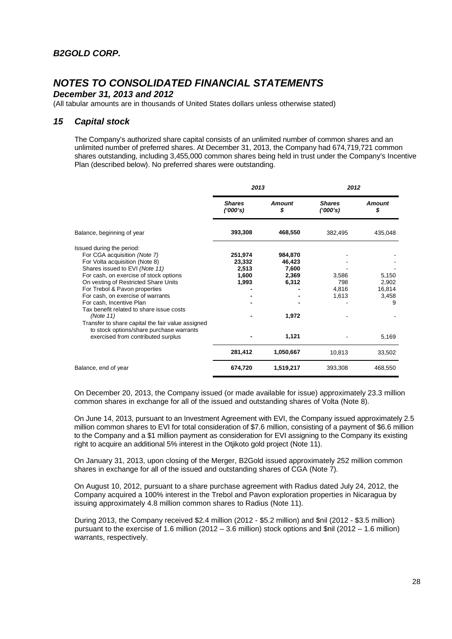*December 31, 2013 and 2012*

(All tabular amounts are in thousands of United States dollars unless otherwise stated)

### *15 Capital stock*

The Company's authorized share capital consists of an unlimited number of common shares and an unlimited number of preferred shares. At December 31, 2013, the Company had 674,719,721 common shares outstanding, including 3,455,000 common shares being held in trust under the Company's Incentive Plan (described below). No preferred shares were outstanding.

|                                                                                                                                                                                                                                                                                                                                                                            | 2013                                         |                                                       | 2012                           |                                        |
|----------------------------------------------------------------------------------------------------------------------------------------------------------------------------------------------------------------------------------------------------------------------------------------------------------------------------------------------------------------------------|----------------------------------------------|-------------------------------------------------------|--------------------------------|----------------------------------------|
|                                                                                                                                                                                                                                                                                                                                                                            | <b>Shares</b><br>('000's)                    | <b>Amount</b><br>\$                                   | <b>Shares</b><br>('000's)      | Amount<br>\$                           |
| Balance, beginning of year                                                                                                                                                                                                                                                                                                                                                 | 393,308                                      | 468,550                                               | 382,495                        | 435,048                                |
| Issued during the period:<br>For CGA acquisition (Note 7)<br>For Volta acquisition (Note 8)<br>Shares issued to EVI (Note 11)<br>For cash, on exercise of stock options<br>On vesting of Restricted Share Units<br>For Trebol & Pavon properties<br>For cash, on exercise of warrants<br>For cash, Incentive Plan<br>Tax benefit related to share issue costs<br>(Note 11) | 251,974<br>23,332<br>2,513<br>1,600<br>1,993 | 984.870<br>46,423<br>7.600<br>2,369<br>6,312<br>1,972 | 3,586<br>798<br>4,816<br>1,613 | 5,150<br>2,902<br>16,814<br>3,458<br>9 |
| Transfer to share capital the fair value assigned<br>to stock options/share purchase warrants<br>exercised from contributed surplus                                                                                                                                                                                                                                        |                                              | 1,121                                                 |                                | 5,169                                  |
|                                                                                                                                                                                                                                                                                                                                                                            | 281,412                                      | 1,050,667                                             | 10,813                         | 33,502                                 |
| Balance, end of year                                                                                                                                                                                                                                                                                                                                                       | 674,720                                      | 1,519,217                                             | 393,308                        | 468.550                                |

On December 20, 2013, the Company issued (or made available for issue) approximately 23.3 million common shares in exchange for all of the issued and outstanding shares of Volta (Note 8).

On June 14, 2013, pursuant to an Investment Agreement with EVI, the Company issued approximately 2.5 million common shares to EVI for total consideration of \$7.6 million, consisting of a payment of \$6.6 million to the Company and a \$1 million payment as consideration for EVI assigning to the Company its existing right to acquire an additional 5% interest in the Otjikoto gold project (Note 11).

On January 31, 2013, upon closing of the Merger, B2Gold issued approximately 252 million common shares in exchange for all of the issued and outstanding shares of CGA (Note 7).

On August 10, 2012, pursuant to a share purchase agreement with Radius dated July 24, 2012, the Company acquired a 100% interest in the Trebol and Pavon exploration properties in Nicaragua by issuing approximately 4.8 million common shares to Radius (Note 11).

During 2013, the Company received \$2.4 million (2012 - \$5.2 million) and \$nil (2012 - \$3.5 million) pursuant to the exercise of 1.6 million (2012 – 3.6 million) stock options and \$nil (2012 – 1.6 million) warrants, respectively.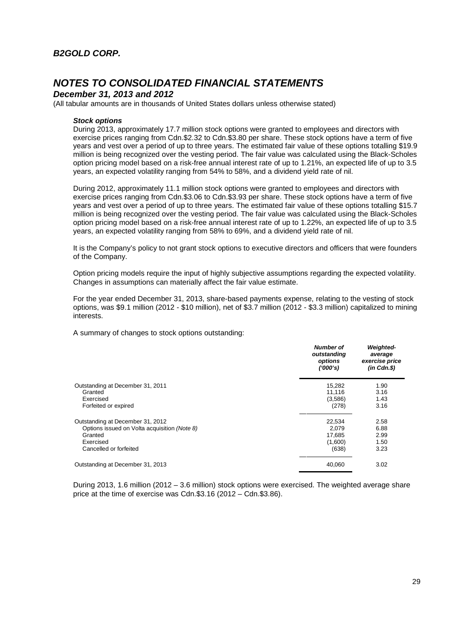### *December 31, 2013 and 2012*

(All tabular amounts are in thousands of United States dollars unless otherwise stated)

#### *Stock options*

During 2013, approximately 17.7 million stock options were granted to employees and directors with exercise prices ranging from Cdn.\$2.32 to Cdn.\$3.80 per share. These stock options have a term of five years and vest over a period of up to three years. The estimated fair value of these options totalling \$19.9 million is being recognized over the vesting period. The fair value was calculated using the Black-Scholes option pricing model based on a risk-free annual interest rate of up to 1.21%, an expected life of up to 3.5 years, an expected volatility ranging from 54% to 58%, and a dividend yield rate of nil.

During 2012, approximately 11.1 million stock options were granted to employees and directors with exercise prices ranging from Cdn.\$3.06 to Cdn.\$3.93 per share. These stock options have a term of five years and vest over a period of up to three years. The estimated fair value of these options totalling \$15.7 million is being recognized over the vesting period. The fair value was calculated using the Black-Scholes option pricing model based on a risk-free annual interest rate of up to 1.22%, an expected life of up to 3.5 years, an expected volatility ranging from 58% to 69%, and a dividend yield rate of nil.

It is the Company's policy to not grant stock options to executive directors and officers that were founders of the Company.

Option pricing models require the input of highly subjective assumptions regarding the expected volatility. Changes in assumptions can materially affect the fair value estimate.

For the year ended December 31, 2013, share-based payments expense, relating to the vesting of stock options, was \$9.1 million (2012 - \$10 million), net of \$3.7 million (2012 - \$3.3 million) capitalized to mining interests.

A summary of changes to stock options outstanding:

|                                              | Number of<br>outstanding<br>options<br>(1000's) | <b>Weighted-</b><br>average<br>exercise price<br>$(in$ $Cdn.S)$ |
|----------------------------------------------|-------------------------------------------------|-----------------------------------------------------------------|
| Outstanding at December 31, 2011             | 15.282                                          | 1.90                                                            |
| Granted                                      | 11.116                                          | 3.16                                                            |
| Exercised                                    | (3,586)                                         | 1.43                                                            |
| Forfeited or expired                         | (278)                                           | 3.16                                                            |
| Outstanding at December 31, 2012             | 22,534                                          | 2.58                                                            |
| Options issued on Volta acquisition (Note 8) | 2,079                                           | 6.88                                                            |
| Granted                                      | 17,685                                          | 2.99                                                            |
| Exercised                                    | (1,600)                                         | 1.50                                                            |
| Cancelled or forfeited                       | (638)                                           | 3.23                                                            |
| Outstanding at December 31, 2013             | 40,060                                          | 3.02                                                            |

During 2013, 1.6 million (2012 – 3.6 million) stock options were exercised. The weighted average share price at the time of exercise was Cdn.\$3.16 (2012 – Cdn.\$3.86).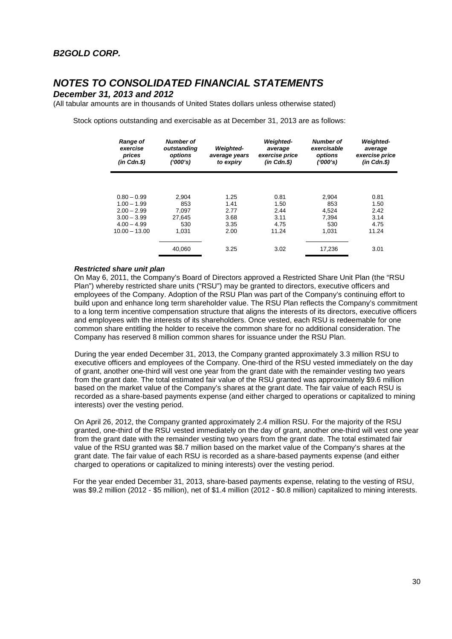### *December 31, 2013 and 2012*

(All tabular amounts are in thousands of United States dollars unless otherwise stated)

Stock options outstanding and exercisable as at December 31, 2013 are as follows:

| <b>Range of</b><br>exercise<br>prices<br>$(in$ $Cdn.S)$ | Number of<br>outstanding<br>options<br>(1000's) | <b>Weighted-</b><br>average years<br>to expiry | <b>Weighted-</b><br>average<br>exercise price<br>$(in$ $Cdn.S)$ | Number of<br>exercisable<br>options<br>(1000's) | <b>Weighted-</b><br>average<br>exercise price<br>$(in$ $Cdn.S)$ |
|---------------------------------------------------------|-------------------------------------------------|------------------------------------------------|-----------------------------------------------------------------|-------------------------------------------------|-----------------------------------------------------------------|
|                                                         |                                                 |                                                |                                                                 |                                                 |                                                                 |
| $0.80 - 0.99$                                           | 2.904                                           | 1.25                                           | 0.81                                                            | 2.904                                           | 0.81                                                            |
| $1.00 - 1.99$<br>$2.00 - 2.99$                          | 853<br>7.097                                    | 1.41<br>2.77                                   | 1.50<br>2.44                                                    | 853<br>4.524                                    | 1.50<br>2.42                                                    |
| $3.00 - 3.99$                                           | 27.645                                          | 3.68                                           | 3.11                                                            | 7.394                                           | 3.14                                                            |
| $4.00 - 4.99$                                           | 530                                             | 3.35                                           | 4.75                                                            | 530                                             | 4.75                                                            |
| $10.00 - 13.00$                                         | 1,031                                           | 2.00                                           | 11.24                                                           | 1,031                                           | 11.24                                                           |
|                                                         |                                                 |                                                |                                                                 |                                                 |                                                                 |
|                                                         | 40.060                                          | 3.25                                           | 3.02                                                            | 17.236                                          | 3.01                                                            |

#### *Restricted share unit plan*

On May 6, 2011, the Company's Board of Directors approved a Restricted Share Unit Plan (the "RSU Plan") whereby restricted share units ("RSU") may be granted to directors, executive officers and employees of the Company. Adoption of the RSU Plan was part of the Company's continuing effort to build upon and enhance long term shareholder value. The RSU Plan reflects the Company's commitment to a long term incentive compensation structure that aligns the interests of its directors, executive officers and employees with the interests of its shareholders. Once vested, each RSU is redeemable for one common share entitling the holder to receive the common share for no additional consideration. The Company has reserved 8 million common shares for issuance under the RSU Plan.

During the year ended December 31, 2013, the Company granted approximately 3.3 million RSU to executive officers and employees of the Company. One-third of the RSU vested immediately on the day of grant, another one-third will vest one year from the grant date with the remainder vesting two years from the grant date. The total estimated fair value of the RSU granted was approximately \$9.6 million based on the market value of the Company's shares at the grant date. The fair value of each RSU is recorded as a share-based payments expense (and either charged to operations or capitalized to mining interests) over the vesting period.

On April 26, 2012, the Company granted approximately 2.4 million RSU. For the majority of the RSU granted, one-third of the RSU vested immediately on the day of grant, another one-third will vest one year from the grant date with the remainder vesting two years from the grant date. The total estimated fair value of the RSU granted was \$8.7 million based on the market value of the Company's shares at the grant date. The fair value of each RSU is recorded as a share-based payments expense (and either charged to operations or capitalized to mining interests) over the vesting period.

For the year ended December 31, 2013, share-based payments expense, relating to the vesting of RSU, was \$9.2 million (2012 - \$5 million), net of \$1.4 million (2012 - \$0.8 million) capitalized to mining interests.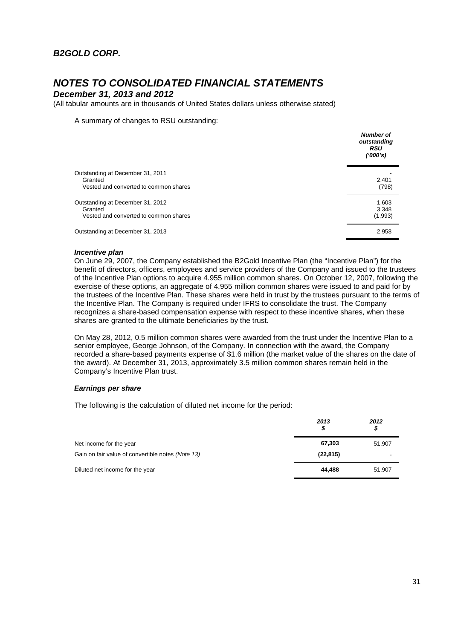## *B2GOLD CORP.*

# *NOTES TO CONSOLIDATED FINANCIAL STATEMENTS*

### *December 31, 2013 and 2012*

(All tabular amounts are in thousands of United States dollars unless otherwise stated)

A summary of changes to RSU outstanding:

|                                                                                      | <b>Number of</b><br>outstanding<br>RSU<br>(1000's) |
|--------------------------------------------------------------------------------------|----------------------------------------------------|
| Outstanding at December 31, 2011<br>Granted<br>Vested and converted to common shares | 2,401<br>(798)                                     |
| Outstanding at December 31, 2012<br>Granted<br>Vested and converted to common shares | 1,603<br>3,348<br>(1,993)                          |
| Outstanding at December 31, 2013                                                     | 2,958                                              |

#### *Incentive plan*

On June 29, 2007, the Company established the B2Gold Incentive Plan (the "Incentive Plan") for the benefit of directors, officers, employees and service providers of the Company and issued to the trustees of the Incentive Plan options to acquire 4.955 million common shares. On October 12, 2007, following the exercise of these options, an aggregate of 4.955 million common shares were issued to and paid for by the trustees of the Incentive Plan. These shares were held in trust by the trustees pursuant to the terms of the Incentive Plan. The Company is required under IFRS to consolidate the trust. The Company recognizes a share-based compensation expense with respect to these incentive shares, when these shares are granted to the ultimate beneficiaries by the trust.

On May 28, 2012, 0.5 million common shares were awarded from the trust under the Incentive Plan to a senior employee, George Johnson, of the Company. In connection with the award, the Company recorded a share-based payments expense of \$1.6 million (the market value of the shares on the date of the award). At December 31, 2013, approximately 3.5 million common shares remain held in the Company's Incentive Plan trust.

### *Earnings per share*

The following is the calculation of diluted net income for the period:

|                                                   | 2013<br>S | 2012<br>\$ |
|---------------------------------------------------|-----------|------------|
| Net income for the year                           | 67,303    | 51,907     |
| Gain on fair value of convertible notes (Note 13) | (22, 815) | -          |
| Diluted net income for the year                   | 44.488    | 51,907     |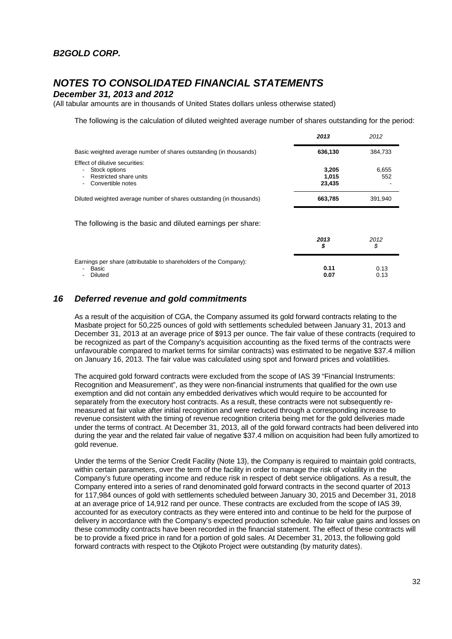*December 31, 2013 and 2012*

(All tabular amounts are in thousands of United States dollars unless otherwise stated)

The following is the calculation of diluted weighted average number of shares outstanding for the period:

|                                                                                                                          | 2013                     | 2012         |
|--------------------------------------------------------------------------------------------------------------------------|--------------------------|--------------|
| Basic weighted average number of shares outstanding (in thousands)                                                       | 636,130                  | 384,733      |
| Effect of dilutive securities:<br>Stock options<br>۰<br>Restricted share units<br>$\blacksquare$<br>Convertible notes    | 3,205<br>1,015<br>23,435 | 6,655<br>552 |
| Diluted weighted average number of shares outstanding (in thousands)                                                     | 663,785                  | 391,940      |
| The following is the basic and diluted earnings per share:                                                               |                          |              |
|                                                                                                                          | 2013<br>\$               | 2012<br>\$   |
| Earnings per share (attributable to shareholders of the Company):<br>Basic<br><b>Diluted</b><br>$\overline{\phantom{a}}$ | 0.11<br>0.07             | 0.13<br>0.13 |

### *16 Deferred revenue and gold commitments*

As a result of the acquisition of CGA, the Company assumed its gold forward contracts relating to the Masbate project for 50,225 ounces of gold with settlements scheduled between January 31, 2013 and December 31, 2013 at an average price of \$913 per ounce. The fair value of these contracts (required to be recognized as part of the Company's acquisition accounting as the fixed terms of the contracts were unfavourable compared to market terms for similar contracts) was estimated to be negative \$37.4 million on January 16, 2013. The fair value was calculated using spot and forward prices and volatilities.

The acquired gold forward contracts were excluded from the scope of IAS 39 "Financial Instruments: Recognition and Measurement", as they were non-financial instruments that qualified for the own use exemption and did not contain any embedded derivatives which would require to be accounted for separately from the executory host contracts. As a result, these contracts were not subsequently remeasured at fair value after initial recognition and were reduced through a corresponding increase to revenue consistent with the timing of revenue recognition criteria being met for the gold deliveries made under the terms of contract. At December 31, 2013, all of the gold forward contracts had been delivered into during the year and the related fair value of negative \$37.4 million on acquisition had been fully amortized to gold revenue.

Under the terms of the Senior Credit Facility (Note 13), the Company is required to maintain gold contracts, within certain parameters, over the term of the facility in order to manage the risk of volatility in the Company's future operating income and reduce risk in respect of debt service obligations. As a result, the Company entered into a series of rand denominated gold forward contracts in the second quarter of 2013 for 117,984 ounces of gold with settlements scheduled between January 30, 2015 and December 31, 2018 at an average price of 14,912 rand per ounce. These contracts are excluded from the scope of IAS 39, accounted for as executory contracts as they were entered into and continue to be held for the purpose of delivery in accordance with the Company's expected production schedule. No fair value gains and losses on these commodity contracts have been recorded in the financial statement. The effect of these contracts will be to provide a fixed price in rand for a portion of gold sales. At December 31, 2013, the following gold forward contracts with respect to the Otjikoto Project were outstanding (by maturity dates).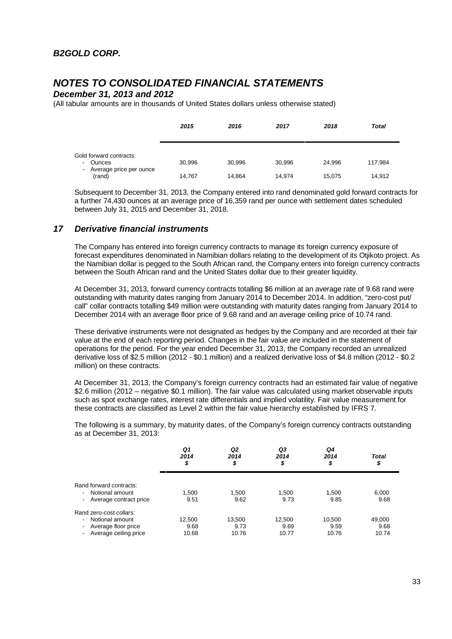### *December 31, 2013 and 2012*

(All tabular amounts are in thousands of United States dollars unless otherwise stated)

|                                                               | 2015   | 2016   | 2017   | 2018   | Total   |
|---------------------------------------------------------------|--------|--------|--------|--------|---------|
| Gold forward contracts:<br>Ounces<br>$\overline{\phantom{a}}$ | 30.996 | 30.996 | 30.996 | 24.996 | 117,984 |
| Average price per ounce<br>$\sim$<br>(rand)                   | 14.767 | 14.864 | 14.974 | 15.075 | 14.912  |

Subsequent to December 31, 2013, the Company entered into rand denominated gold forward contracts for a further 74,430 ounces at an average price of 16,359 rand per ounce with settlement dates scheduled between July 31, 2015 and December 31, 2018.

### *17 Derivative financial instruments*

The Company has entered into foreign currency contracts to manage its foreign currency exposure of forecast expenditures denominated in Namibian dollars relating to the development of its Otjikoto project. As the Namibian dollar is pegged to the South African rand, the Company enters into foreign currency contracts between the South African rand and the United States dollar due to their greater liquidity.

At December 31, 2013, forward currency contracts totalling \$6 million at an average rate of 9.68 rand were outstanding with maturity dates ranging from January 2014 to December 2014. In addition, "zero-cost put/ call" collar contracts totalling \$49 million were outstanding with maturity dates ranging from January 2014 to December 2014 with an average floor price of 9.68 rand and an average ceiling price of 10.74 rand.

These derivative instruments were not designated as hedges by the Company and are recorded at their fair value at the end of each reporting period. Changes in the fair value are included in the statement of operations for the period. For the year ended December 31, 2013, the Company recorded an unrealized derivative loss of \$2.5 million (2012 - \$0.1 million) and a realized derivative loss of \$4.8 million (2012 - \$0.2 million) on these contracts.

At December 31, 2013, the Company's foreign currency contracts had an estimated fair value of negative \$2.6 million (2012 – negative \$0.1 million). The fair value was calculated using market observable inputs such as spot exchange rates, interest rate differentials and implied volatility. Fair value measurement for these contracts are classified as Level 2 within the fair value hierarchy established by IFRS 7.

The following is a summary, by maturity dates, of the Company's foreign currency contracts outstanding as at December 31, 2013:

|                                                                                                                        | Q1<br>2014<br>\$        | Q2<br>2014<br>\$        | Q3<br>2014<br>\$        | Q4<br>2014<br>\$        | Total<br>\$             |
|------------------------------------------------------------------------------------------------------------------------|-------------------------|-------------------------|-------------------------|-------------------------|-------------------------|
| Rand forward contracts:<br>Notional amount<br>$\overline{\phantom{0}}$<br>Average contract price                       | 1.500<br>9.51           | 1.500<br>9.62           | 1.500<br>9.73           | 1.500<br>9.85           | 6,000<br>9.68           |
| Rand zero-cost collars:<br>Notional amount<br>$\overline{\phantom{0}}$<br>Average floor price<br>Average ceiling price | 12,500<br>9.68<br>10.68 | 13,500<br>9.73<br>10.76 | 12,500<br>9.69<br>10.77 | 10,500<br>9.59<br>10.76 | 49,000<br>9.68<br>10.74 |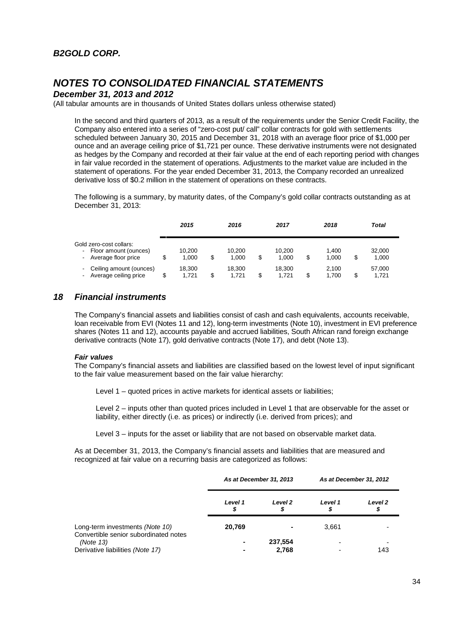*December 31, 2013 and 2012*

(All tabular amounts are in thousands of United States dollars unless otherwise stated)

In the second and third quarters of 2013, as a result of the requirements under the Senior Credit Facility, the Company also entered into a series of "zero-cost put/ call" collar contracts for gold with settlements scheduled between January 30, 2015 and December 31, 2018 with an average floor price of \$1,000 per ounce and an average ceiling price of \$1,721 per ounce. These derivative instruments were not designated as hedges by the Company and recorded at their fair value at the end of each reporting period with changes in fair value recorded in the statement of operations. Adjustments to the market value are included in the statement of operations. For the year ended December 31, 2013, the Company recorded an unrealized derivative loss of \$0.2 million in the statement of operations on these contracts.

The following is a summary, by maturity dates, of the Company's gold collar contracts outstanding as at December 31, 2013:

|                                                                         | 2015                  | 2016                  | 2017                  | 2018                 |    | Total           |  |
|-------------------------------------------------------------------------|-----------------------|-----------------------|-----------------------|----------------------|----|-----------------|--|
| Gold zero-cost collars:<br>Floor amount (ounces)<br>Average floor price | \$<br>10.200<br>1.000 | \$<br>10.200<br>1.000 | \$<br>10.200<br>1.000 | \$<br>1.400<br>1.000 | \$ | 32,000<br>1,000 |  |
| Ceiling amount (ounces)<br>Average ceiling price                        | \$<br>18.300<br>1.721 | \$<br>18.300<br>1.721 | \$<br>18.300<br>1.721 | \$<br>2.100<br>1.700 | S  | 57.000<br>1.721 |  |

### *18 Financial instruments*

The Company's financial assets and liabilities consist of cash and cash equivalents, accounts receivable, loan receivable from EVI (Notes 11 and 12), long-term investments (Note 10), investment in EVI preference shares (Notes 11 and 12), accounts payable and accrued liabilities, South African rand foreign exchange derivative contracts (Note 17), gold derivative contracts (Note 17), and debt (Note 13).

### *Fair values*

The Company's financial assets and liabilities are classified based on the lowest level of input significant to the fair value measurement based on the fair value hierarchy:

Level 1 – quoted prices in active markets for identical assets or liabilities;

Level 2 – inputs other than quoted prices included in Level 1 that are observable for the asset or liability, either directly (i.e. as prices) or indirectly (i.e. derived from prices); and

Level 3 – inputs for the asset or liability that are not based on observable market data.

As at December 31, 2013, the Company's financial assets and liabilities that are measured and recognized at fair value on a recurring basis are categorized as follows:

|                                                                          | As at December 31, 2013 |                  | As at December 31, 2012 |               |
|--------------------------------------------------------------------------|-------------------------|------------------|-------------------------|---------------|
|                                                                          | Level 1<br>S            | Level 2<br>S     | Level 1<br>\$           | Level 2<br>\$ |
| Long-term investments (Note 10)<br>Convertible senior subordinated notes | 20.769                  | ۰                | 3.661                   |               |
| (Note 13)<br>Derivative liabilities (Note 17)                            |                         | 237,554<br>2,768 | -                       | 143           |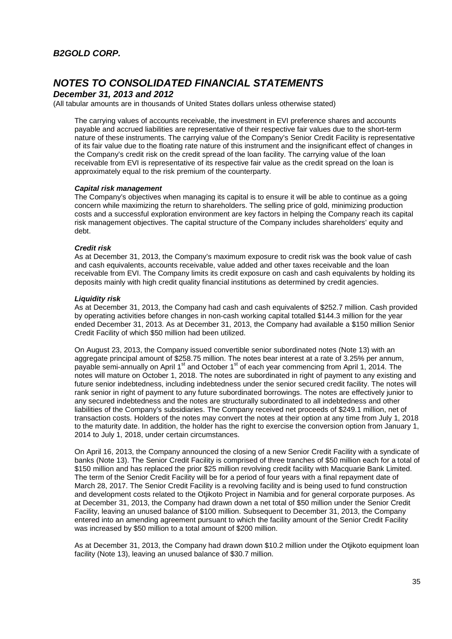## *B2GOLD CORP.*

## *NOTES TO CONSOLIDATED FINANCIAL STATEMENTS*

### *December 31, 2013 and 2012*

(All tabular amounts are in thousands of United States dollars unless otherwise stated)

The carrying values of accounts receivable, the investment in EVI preference shares and accounts payable and accrued liabilities are representative of their respective fair values due to the short-term nature of these instruments. The carrying value of the Company's Senior Credit Facility is representative of its fair value due to the floating rate nature of this instrument and the insignificant effect of changes in the Company's credit risk on the credit spread of the loan facility. The carrying value of the loan receivable from EVI is representative of its respective fair value as the credit spread on the loan is approximately equal to the risk premium of the counterparty.

#### *Capital risk management*

The Company's objectives when managing its capital is to ensure it will be able to continue as a going concern while maximizing the return to shareholders. The selling price of gold, minimizing production costs and a successful exploration environment are key factors in helping the Company reach its capital risk management objectives. The capital structure of the Company includes shareholders' equity and debt.

#### *Credit risk*

As at December 31, 2013, the Company's maximum exposure to credit risk was the book value of cash and cash equivalents, accounts receivable, value added and other taxes receivable and the loan receivable from EVI. The Company limits its credit exposure on cash and cash equivalents by holding its deposits mainly with high credit quality financial institutions as determined by credit agencies.

#### *Liquidity risk*

As at December 31, 2013, the Company had cash and cash equivalents of \$252.7 million. Cash provided by operating activities before changes in non-cash working capital totalled \$144.3 million for the year ended December 31, 2013. As at December 31, 2013, the Company had available a \$150 million Senior Credit Facility of which \$50 million had been utilized.

On August 23, 2013, the Company issued convertible senior subordinated notes (Note 13) with an aggregate principal amount of \$258.75 million. The notes bear interest at a rate of 3.25% per annum, payable semi-annually on April 1<sup>st</sup> and October 1<sup>st</sup> of each year commencing from April 1, 2014. The notes will mature on October 1, 2018. The notes are subordinated in right of payment to any existing and future senior indebtedness, including indebtedness under the senior secured credit facility. The notes will rank senior in right of payment to any future subordinated borrowings. The notes are effectively junior to any secured indebtedness and the notes are structurally subordinated to all indebtedness and other liabilities of the Company's subsidiaries. The Company received net proceeds of \$249.1 million, net of transaction costs. Holders of the notes may convert the notes at their option at any time from July 1, 2018 to the maturity date. In addition, the holder has the right to exercise the conversion option from January 1, 2014 to July 1, 2018, under certain circumstances.

On April 16, 2013, the Company announced the closing of a new Senior Credit Facility with a syndicate of banks (Note 13). The Senior Credit Facility is comprised of three tranches of \$50 million each for a total of \$150 million and has replaced the prior \$25 million revolving credit facility with Macquarie Bank Limited. The term of the Senior Credit Facility will be for a period of four years with a final repayment date of March 28, 2017. The Senior Credit Facility is a revolving facility and is being used to fund construction and development costs related to the Otjikoto Project in Namibia and for general corporate purposes. As at December 31, 2013, the Company had drawn down a net total of \$50 million under the Senior Credit Facility, leaving an unused balance of \$100 million. Subsequent to December 31, 2013, the Company entered into an amending agreement pursuant to which the facility amount of the Senior Credit Facility was increased by \$50 million to a total amount of \$200 million.

As at December 31, 2013, the Company had drawn down \$10.2 million under the Otjikoto equipment loan facility (Note 13), leaving an unused balance of \$30.7 million.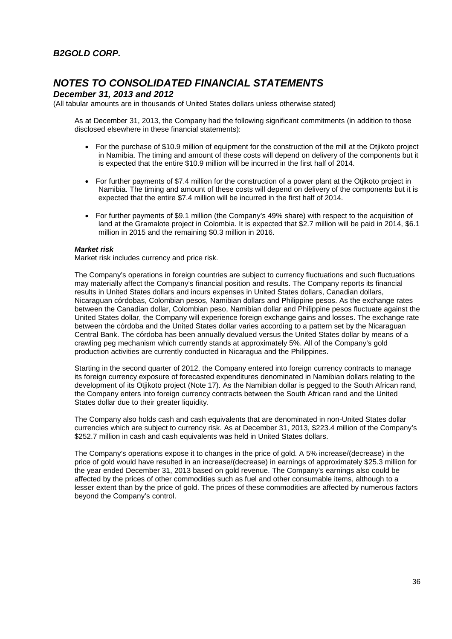### *December 31, 2013 and 2012*

(All tabular amounts are in thousands of United States dollars unless otherwise stated)

As at December 31, 2013, the Company had the following significant commitments (in addition to those disclosed elsewhere in these financial statements):

- For the purchase of \$10.9 million of equipment for the construction of the mill at the Otjikoto project in Namibia. The timing and amount of these costs will depend on delivery of the components but it is expected that the entire \$10.9 million will be incurred in the first half of 2014.
- For further payments of \$7.4 million for the construction of a power plant at the Otiikoto project in Namibia. The timing and amount of these costs will depend on delivery of the components but it is expected that the entire \$7.4 million will be incurred in the first half of 2014.
- For further payments of \$9.1 million (the Company's 49% share) with respect to the acquisition of land at the Gramalote project in Colombia. It is expected that \$2.7 million will be paid in 2014, \$6.1 million in 2015 and the remaining \$0.3 million in 2016.

#### *Market risk*

Market risk includes currency and price risk.

The Company's operations in foreign countries are subject to currency fluctuations and such fluctuations may materially affect the Company's financial position and results. The Company reports its financial results in United States dollars and incurs expenses in United States dollars, Canadian dollars, Nicaraguan córdobas, Colombian pesos, Namibian dollars and Philippine pesos. As the exchange rates between the Canadian dollar, Colombian peso, Namibian dollar and Philippine pesos fluctuate against the United States dollar, the Company will experience foreign exchange gains and losses. The exchange rate between the córdoba and the United States dollar varies according to a pattern set by the Nicaraguan Central Bank. The córdoba has been annually devalued versus the United States dollar by means of a crawling peg mechanism which currently stands at approximately 5%. All of the Company's gold production activities are currently conducted in Nicaragua and the Philippines.

Starting in the second quarter of 2012, the Company entered into foreign currency contracts to manage its foreign currency exposure of forecasted expenditures denominated in Namibian dollars relating to the development of its Otjikoto project (Note 17). As the Namibian dollar is pegged to the South African rand, the Company enters into foreign currency contracts between the South African rand and the United States dollar due to their greater liquidity.

The Company also holds cash and cash equivalents that are denominated in non-United States dollar currencies which are subject to currency risk. As at December 31, 2013, \$223.4 million of the Company's \$252.7 million in cash and cash equivalents was held in United States dollars.

The Company's operations expose it to changes in the price of gold. A 5% increase/(decrease) in the price of gold would have resulted in an increase/(decrease) in earnings of approximately \$25.3 million for the year ended December 31, 2013 based on gold revenue. The Company's earnings also could be affected by the prices of other commodities such as fuel and other consumable items, although to a lesser extent than by the price of gold. The prices of these commodities are affected by numerous factors beyond the Company's control.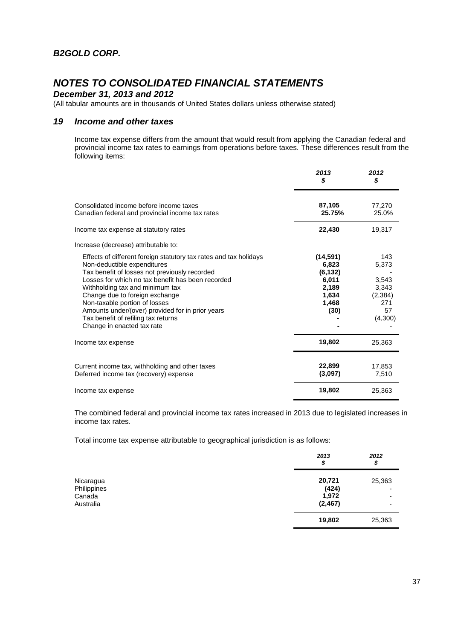### *December 31, 2013 and 2012*

(All tabular amounts are in thousands of United States dollars unless otherwise stated)

### *19 Income and other taxes*

Income tax expense differs from the amount that would result from applying the Canadian federal and provincial income tax rates to earnings from operations before taxes. These differences result from the following items:

|                                                                                                                                                                                                                                                                                                                                                                                                                                       | 2013<br>\$                                                                 | 2012<br>\$                                                         |
|---------------------------------------------------------------------------------------------------------------------------------------------------------------------------------------------------------------------------------------------------------------------------------------------------------------------------------------------------------------------------------------------------------------------------------------|----------------------------------------------------------------------------|--------------------------------------------------------------------|
| Consolidated income before income taxes<br>Canadian federal and provincial income tax rates                                                                                                                                                                                                                                                                                                                                           | 87,105<br>25.75%                                                           | 77,270<br>25.0%                                                    |
| Income tax expense at statutory rates                                                                                                                                                                                                                                                                                                                                                                                                 | 22,430                                                                     | 19,317                                                             |
| Increase (decrease) attributable to:                                                                                                                                                                                                                                                                                                                                                                                                  |                                                                            |                                                                    |
| Effects of different foreign statutory tax rates and tax holidays<br>Non-deductible expenditures<br>Tax benefit of losses not previously recorded<br>Losses for which no tax benefit has been recorded<br>Withholding tax and minimum tax<br>Change due to foreign exchange<br>Non-taxable portion of losses<br>Amounts under/(over) provided for in prior years<br>Tax benefit of refiling tax returns<br>Change in enacted tax rate | (14, 591)<br>6,823<br>(6, 132)<br>6,011<br>2,189<br>1,634<br>1,468<br>(30) | 143<br>5,373<br>3,543<br>3,343<br>(2, 384)<br>271<br>57<br>(4,300) |
| Income tax expense                                                                                                                                                                                                                                                                                                                                                                                                                    | 19,802                                                                     | 25,363                                                             |
| Current income tax, withholding and other taxes<br>Deferred income tax (recovery) expense                                                                                                                                                                                                                                                                                                                                             | 22,899<br>(3,097)                                                          | 17,853<br>7,510                                                    |
| Income tax expense                                                                                                                                                                                                                                                                                                                                                                                                                    | 19,802                                                                     | 25,363                                                             |

The combined federal and provincial income tax rates increased in 2013 due to legislated increases in income tax rates.

Total income tax expense attributable to geographical jurisdiction is as follows:

|             | 2013<br>\$ | 2012<br>\$               |
|-------------|------------|--------------------------|
| Nicaragua   | 20,721     | 25,363                   |
| Philippines | (424)      | $\overline{\phantom{a}}$ |
| Canada      | 1,972      | ٠                        |
| Australia   | (2, 467)   | $\overline{\phantom{0}}$ |
|             | 19,802     | 25,363                   |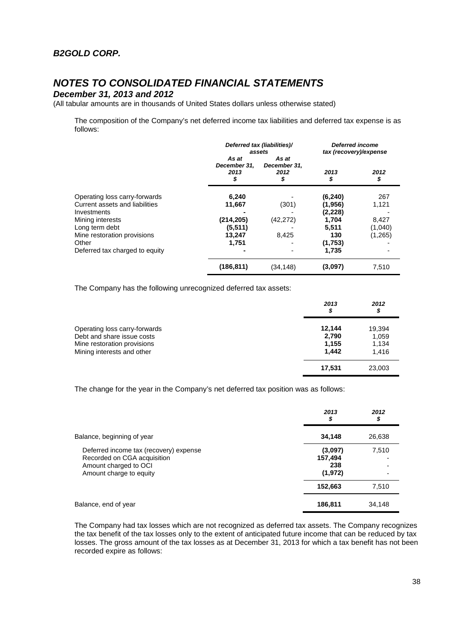## *B2GOLD CORP.*

# *NOTES TO CONSOLIDATED FINANCIAL STATEMENTS*

### *December 31, 2013 and 2012*

(All tabular amounts are in thousands of United States dollars unless otherwise stated)

The composition of the Company's net deferred income tax liabilities and deferred tax expense is as follows:

|                                                                                                                                                                                                | Deferred tax (liabilities)/<br>assets                        |                                     | Deferred income<br>tax (recovery)/expense                                   |                                             |
|------------------------------------------------------------------------------------------------------------------------------------------------------------------------------------------------|--------------------------------------------------------------|-------------------------------------|-----------------------------------------------------------------------------|---------------------------------------------|
|                                                                                                                                                                                                | As at<br>December 31.<br>2013<br>\$                          | As at<br>December 31,<br>2012<br>\$ | 2013<br>\$                                                                  | 2012<br>\$                                  |
| Operating loss carry-forwards<br>Current assets and liabilities<br>Investments<br>Mining interests<br>Long term debt<br>Mine restoration provisions<br>Other<br>Deferred tax charged to equity | 6,240<br>11,667<br>(214, 205)<br>(5, 511)<br>13,247<br>1,751 | (301)<br>(42, 272)<br>8,425         | (6, 240)<br>(1,956)<br>(2,228)<br>1,704<br>5,511<br>130<br>(1,753)<br>1,735 | 267<br>1,121<br>8.427<br>(1,040)<br>(1,265) |
|                                                                                                                                                                                                | (186, 811)                                                   | (34,148)                            | (3,097)                                                                     | 7,510                                       |

The Company has the following unrecognized deferred tax assets:

|                               | 2013<br>\$ | 2012<br>\$ |
|-------------------------------|------------|------------|
| Operating loss carry-forwards | 12,144     | 19,394     |
| Debt and share issue costs    | 2,790      | 1,059      |
| Mine restoration provisions   | 1,155      | 1,134      |
| Mining interests and other    | 1.442      | 1.416      |
|                               | 17,531     | 23,003     |

The change for the year in the Company's net deferred tax position was as follows:

|                                                                                                                           | 2013<br>\$                            | 2012<br>\$ |
|---------------------------------------------------------------------------------------------------------------------------|---------------------------------------|------------|
| Balance, beginning of year                                                                                                | 34,148                                | 26,638     |
| Deferred income tax (recovery) expense<br>Recorded on CGA acquisition<br>Amount charged to OCI<br>Amount charge to equity | (3,097)<br>157,494<br>238<br>(1, 972) | 7,510      |
|                                                                                                                           | 152,663                               | 7,510      |
| Balance, end of year                                                                                                      | 186,811                               | 34,148     |

The Company had tax losses which are not recognized as deferred tax assets. The Company recognizes the tax benefit of the tax losses only to the extent of anticipated future income that can be reduced by tax losses. The gross amount of the tax losses as at December 31, 2013 for which a tax benefit has not been recorded expire as follows: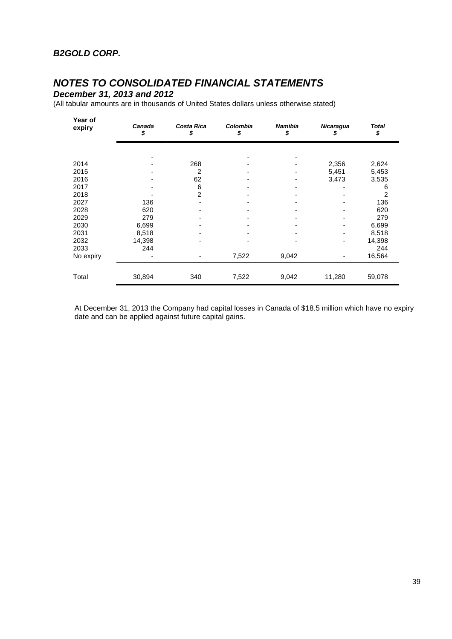## *December 31, 2013 and 2012*

(All tabular amounts are in thousands of United States dollars unless otherwise stated)

| Year of<br>expiry | Canada<br>\$ | Costa Rica<br>\$ | Colombia<br>\$ | <b>Namibia</b><br>\$ | <b>Nicaragua</b> | <b>Total</b><br>\$ |
|-------------------|--------------|------------------|----------------|----------------------|------------------|--------------------|
|                   |              |                  |                |                      |                  |                    |
| 2014              |              | 268              |                |                      | 2,356            | 2,624              |
| 2015              |              | 2                |                |                      | 5,451            | 5,453              |
| 2016              |              | 62               |                |                      | 3,473            | 3,535              |
| 2017              |              | 6                |                |                      |                  | 6                  |
| 2018              |              | 2                |                |                      |                  | 2                  |
| 2027              | 136          |                  |                |                      |                  | 136                |
| 2028              | 620          |                  |                |                      |                  | 620                |
| 2029              | 279          |                  |                |                      |                  | 279                |
| 2030              | 6,699        |                  |                |                      |                  | 6,699              |
| 2031              | 8,518        |                  |                |                      | ٠                | 8,518              |
| 2032              | 14,398       |                  |                |                      |                  | 14,398             |
| 2033              | 244          |                  |                |                      |                  | 244                |
| No expiry         |              |                  | 7,522          | 9,042                |                  | 16,564             |
| Total             | 30,894       | 340              | 7,522          | 9,042                | 11,280           | 59,078             |

At December 31, 2013 the Company had capital losses in Canada of \$18.5 million which have no expiry date and can be applied against future capital gains.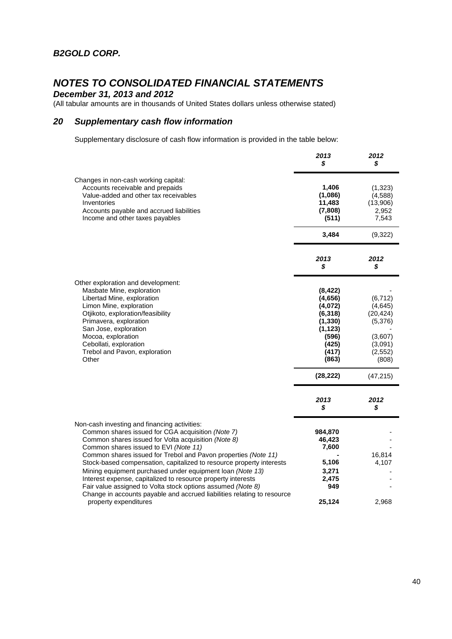## *December 31, 2013 and 2012*

(All tabular amounts are in thousands of United States dollars unless otherwise stated)

## *20 Supplementary cash flow information*

Supplementary disclosure of cash flow information is provided in the table below:

|                                                                                                                                                                                                                                                                                                                                                                                                                                                                                                                                                                                                                    | 2013<br>\$                                                                                                          | 2012<br>\$                                                                                         |
|--------------------------------------------------------------------------------------------------------------------------------------------------------------------------------------------------------------------------------------------------------------------------------------------------------------------------------------------------------------------------------------------------------------------------------------------------------------------------------------------------------------------------------------------------------------------------------------------------------------------|---------------------------------------------------------------------------------------------------------------------|----------------------------------------------------------------------------------------------------|
| Changes in non-cash working capital:<br>Accounts receivable and prepaids<br>Value-added and other tax receivables<br>Inventories<br>Accounts payable and accrued liabilities<br>Income and other taxes payables                                                                                                                                                                                                                                                                                                                                                                                                    | 1,406<br>(1,086)<br>11,483<br>(7,808)<br>(511)                                                                      | (1, 323)<br>(4, 588)<br>(13,906)<br>2,952<br>7,543                                                 |
|                                                                                                                                                                                                                                                                                                                                                                                                                                                                                                                                                                                                                    | 3,484                                                                                                               | (9, 322)                                                                                           |
|                                                                                                                                                                                                                                                                                                                                                                                                                                                                                                                                                                                                                    | 2013<br>\$                                                                                                          | 2012<br>\$                                                                                         |
| Other exploration and development:<br>Masbate Mine, exploration<br>Libertad Mine, exploration<br>Limon Mine, exploration<br>Otjikoto, exploration/feasibility<br>Primavera, exploration<br>San Jose, exploration<br>Mocoa, exploration<br>Cebollati, exploration<br>Trebol and Pavon, exploration<br>Other                                                                                                                                                                                                                                                                                                         | (8, 422)<br>(4,656)<br>(4,072)<br>(6, 318)<br>(1, 330)<br>(1, 123)<br>(596)<br>(425)<br>(417)<br>(863)<br>(28, 222) | (6, 712)<br>(4,645)<br>(20, 424)<br>(5,376)<br>(3,607)<br>(3,091)<br>(2,552)<br>(808)<br>(47, 215) |
|                                                                                                                                                                                                                                                                                                                                                                                                                                                                                                                                                                                                                    | 2013<br>\$                                                                                                          | 2012<br>\$                                                                                         |
| Non-cash investing and financing activities:<br>Common shares issued for CGA acquisition (Note 7)<br>Common shares issued for Volta acquisition (Note 8)<br>Common shares issued to EVI (Note 11)<br>Common shares issued for Trebol and Pavon properties (Note 11)<br>Stock-based compensation, capitalized to resource property interests<br>Mining equipment purchased under equipment loan (Note 13)<br>Interest expense, capitalized to resource property interests<br>Fair value assigned to Volta stock options assumed (Note 8)<br>Change in accounts payable and accrued liabilities relating to resource | 984,870<br>46,423<br>7,600<br>5,106<br>3,271<br>2,475<br>949                                                        | 16,814<br>4,107                                                                                    |
| property expenditures                                                                                                                                                                                                                                                                                                                                                                                                                                                                                                                                                                                              | 25,124                                                                                                              | 2.968                                                                                              |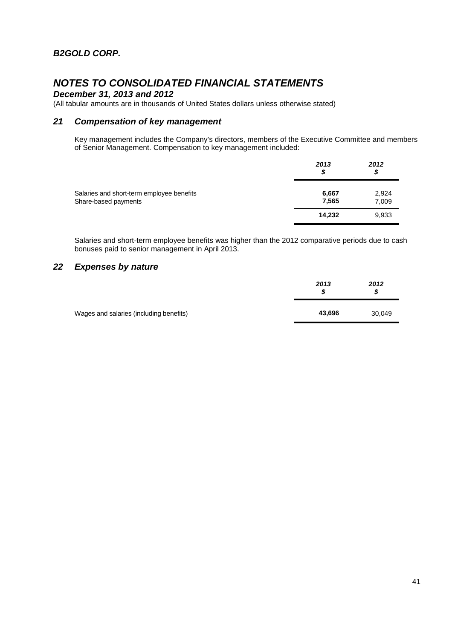## *B2GOLD CORP.*

# *NOTES TO CONSOLIDATED FINANCIAL STATEMENTS*

### *December 31, 2013 and 2012*

(All tabular amounts are in thousands of United States dollars unless otherwise stated)

### *21 Compensation of key management*

Key management includes the Company's directors, members of the Executive Committee and members of Senior Management. Compensation to key management included:

|                                                                   | 2013<br>S      | 2012<br>S      |
|-------------------------------------------------------------------|----------------|----------------|
| Salaries and short-term employee benefits<br>Share-based payments | 6,667<br>7,565 | 2.924<br>7,009 |
|                                                                   | 14,232         | 9,933          |

Salaries and short-term employee benefits was higher than the 2012 comparative periods due to cash bonuses paid to senior management in April 2013.

### *22 Expenses by nature*

|                                         | 2013<br>\$ | 2012<br>\$ |
|-----------------------------------------|------------|------------|
| Wages and salaries (including benefits) | 43.696     | 30,049     |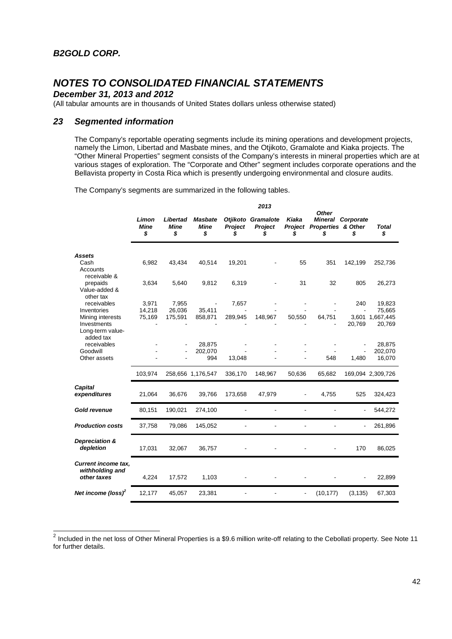*December 31, 2013 and 2012*

(All tabular amounts are in thousands of United States dollars unless otherwise stated)

## *23 Segmented information*

The Company's reportable operating segments include its mining operations and development projects, namely the Limon, Libertad and Masbate mines, and the Otjikoto, Gramalote and Kiaka projects. The "Other Mineral Properties" segment consists of the Company's interests in mineral properties which are at various stages of exploration. The "Corporate and Other" segment includes corporate operations and the Bellavista property in Costa Rica which is presently undergoing environmental and closure audits.

The Company's segments are summarized in the following tables.

|                                                                  | Limon<br><b>Mine</b><br>\$ | Libertad<br>Mine<br>\$ | <b>Masbate</b><br>Mine<br>\$ | <b>Project</b><br>\$ | Otjikoto Gramalote<br><b>Project</b><br>S | Kiaka<br>\$ | <b>Other</b><br><b>Project Properties &amp; Other</b><br>\$ | <b>Mineral Corporate</b><br>\$ | Total<br>\$         |
|------------------------------------------------------------------|----------------------------|------------------------|------------------------------|----------------------|-------------------------------------------|-------------|-------------------------------------------------------------|--------------------------------|---------------------|
| <b>Assets</b><br>Cash<br>Accounts<br>receivable &                | 6,982                      | 43,434                 | 40,514                       | 19,201               |                                           | 55          | 351                                                         | 142,199                        | 252,736             |
| prepaids<br>Value-added &<br>other tax                           | 3,634                      | 5,640                  | 9,812                        | 6,319                |                                           | 31          | 32                                                          | 805                            | 26,273              |
| receivables                                                      | 3,971                      | 7,955                  |                              | 7,657                |                                           |             |                                                             | 240                            | 19,823              |
| Inventories                                                      | 14,218<br>75,169           | 26,036<br>175,591      | 35,411<br>858,871            | 289,945              | 148,967                                   | 50,550      | 64,751                                                      | 3,601                          | 75,665<br>1,667,445 |
| Mining interests<br>Investments<br>Long-term value-<br>added tax |                            |                        |                              |                      |                                           |             |                                                             | 20,769                         | 20,769              |
| receivables                                                      |                            |                        | 28,875                       |                      |                                           |             |                                                             |                                | 28,875              |
| Goodwill                                                         |                            |                        | 202,070                      |                      |                                           |             |                                                             |                                | 202,070             |
| Other assets                                                     |                            |                        | 994                          | 13,048               |                                           |             | 548                                                         | 1,480                          | 16,070              |
|                                                                  | 103,974                    |                        | 258,656 1,176,547            | 336,170              | 148,967                                   | 50,636      | 65,682                                                      |                                | 169,094 2,309,726   |
| <b>Capital</b><br>expenditures                                   | 21,064                     | 36,676                 | 39,766                       | 173,658              | 47,979                                    |             | 4,755                                                       | 525                            | 324,423             |
| <b>Gold revenue</b>                                              | 80,151                     | 190,021                | 274,100                      |                      |                                           |             |                                                             |                                | 544,272             |
| <b>Production costs</b>                                          | 37,758                     | 79,086                 | 145,052                      |                      |                                           |             |                                                             |                                | 261,896             |
| <b>Depreciation &amp;</b><br>depletion                           | 17,031                     | 32,067                 | 36,757                       |                      |                                           |             |                                                             | 170                            | 86,025              |
| Current income tax,<br>withholding and<br>other taxes            | 4,224                      | 17,572                 | 1,103                        |                      |                                           |             |                                                             |                                | 22,899              |
| Net income (loss) <sup>2</sup>                                   | 12,177                     | 45,057                 | 23,381                       |                      |                                           |             | (10, 177)                                                   | (3, 135)                       | 67,303              |

 $^2$  Included in the net loss of Other Mineral Properties is a \$9.6 million write-off relating to the Cebollati property. See Note 11 for further details.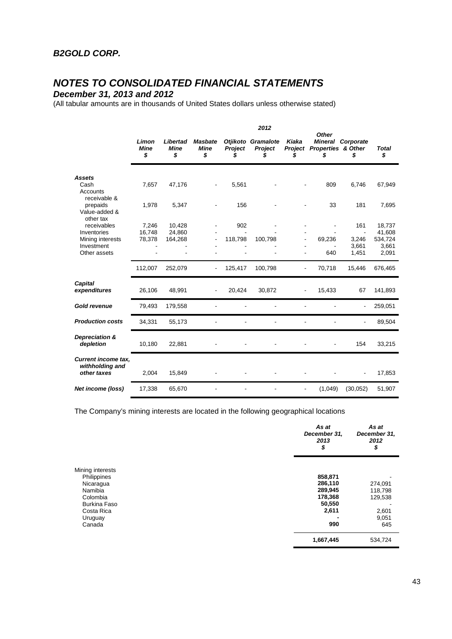## *December 31, 2013 and 2012*

(All tabular amounts are in thousands of United States dollars unless otherwise stated)

|                                                              |                     |                        |                              |               | 2012                                |            |                                                                               |                          |                    |
|--------------------------------------------------------------|---------------------|------------------------|------------------------------|---------------|-------------------------------------|------------|-------------------------------------------------------------------------------|--------------------------|--------------------|
|                                                              | Limon<br>Mine<br>\$ | Libertad<br>Mine<br>\$ | <b>Masbate</b><br>Mine<br>\$ | Project<br>\$ | Otjikoto Gramalote<br>Project<br>\$ | Kiaka<br>S | <b>Other</b><br><b>Mineral</b><br><b>Project Properties &amp; Other</b><br>\$ | Corporate<br>S           | <b>Total</b><br>\$ |
| <b>Assets</b>                                                |                     |                        |                              |               |                                     |            |                                                                               |                          |                    |
| Cash<br>Accounts<br>receivable &                             | 7,657               | 47,176                 |                              | 5,561         |                                     |            | 809                                                                           | 6,746                    | 67,949             |
| prepaids<br>Value-added &<br>other tax                       | 1,978               | 5,347                  |                              | 156           |                                     |            | 33                                                                            | 181                      | 7,695              |
| receivables                                                  | 7,246               | 10,428                 |                              | 902           |                                     |            |                                                                               | 161                      | 18,737             |
| Inventories                                                  | 16,748              | 24,860                 |                              |               |                                     |            |                                                                               | $\overline{\phantom{a}}$ | 41,608             |
| Mining interests<br>Investment                               | 78,378              | 164,268                |                              | 118,798       | 100,798                             |            | 69,236                                                                        | 3,246<br>3,661           | 534,724<br>3,661   |
| Other assets                                                 |                     |                        |                              |               |                                     |            | 640                                                                           | 1,451                    | 2,091              |
|                                                              |                     |                        |                              |               |                                     |            |                                                                               |                          |                    |
|                                                              | 112,007             | 252,079                |                              | 125,417       | 100,798                             |            | 70,718                                                                        | 15,446                   | 676,465            |
| Capital<br>expenditures                                      | 26,106              | 48,991                 |                              | 20,424        | 30,872                              |            | 15,433                                                                        | 67                       | 141,893            |
| Gold revenue                                                 | 79,493              | 179,558                |                              |               |                                     |            |                                                                               | $\blacksquare$           | 259,051            |
| <b>Production costs</b>                                      | 34,331              | 55,173                 |                              |               |                                     |            |                                                                               |                          | 89,504             |
| Depreciation &<br>depletion                                  | 10,180              | 22,881                 |                              |               |                                     |            |                                                                               | 154                      | 33,215             |
| <b>Current income tax,</b><br>withholding and<br>other taxes | 2,004               | 15,849                 |                              |               |                                     |            |                                                                               |                          | 17,853             |
| Net income (loss)                                            | 17,338              | 65,670                 |                              |               |                                     |            | (1,049)                                                                       | (30,052)                 | 51,907             |

The Company's mining interests are located in the following geographical locations

|                     | As at<br>December 31,<br>2013<br>\$ | As at<br>December 31,<br>2012<br>\$ |
|---------------------|-------------------------------------|-------------------------------------|
| Mining interests    |                                     |                                     |
| Philippines         | 858,871                             |                                     |
| Nicaragua           | 286,110                             | 274,091                             |
| Namibia             | 289,945                             | 118,798                             |
| Colombia            | 178,368                             | 129,538                             |
| <b>Burkina Faso</b> | 50,550                              |                                     |
| Costa Rica          | 2,611                               | 2,601                               |
| Uruguay             |                                     | 9,051                               |
| Canada              | 990                                 | 645                                 |
|                     | 1,667,445                           | 534,724                             |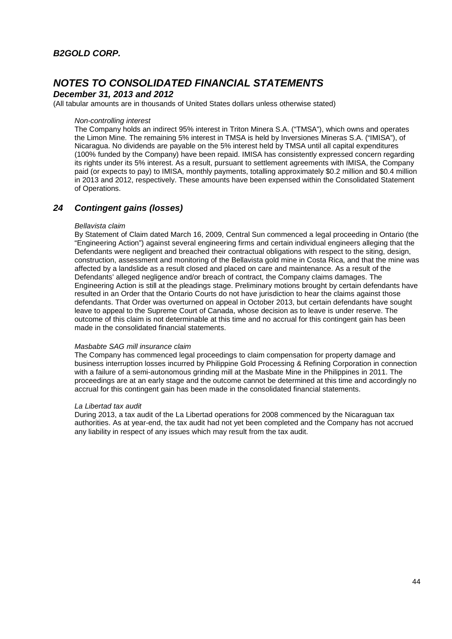## *B2GOLD CORP.*

# *NOTES TO CONSOLIDATED FINANCIAL STATEMENTS*

### *December 31, 2013 and 2012*

(All tabular amounts are in thousands of United States dollars unless otherwise stated)

### *Non-controlling interest*

The Company holds an indirect 95% interest in Triton Minera S.A. ("TMSA"), which owns and operates the Limon Mine. The remaining 5% interest in TMSA is held by Inversiones Mineras S.A. ("IMISA"), of Nicaragua. No dividends are payable on the 5% interest held by TMSA until all capital expenditures (100% funded by the Company) have been repaid. IMISA has consistently expressed concern regarding its rights under its 5% interest. As a result, pursuant to settlement agreements with IMISA, the Company paid (or expects to pay) to IMISA, monthly payments, totalling approximately \$0.2 million and \$0.4 million in 2013 and 2012, respectively. These amounts have been expensed within the Consolidated Statement of Operations.

## *24 Contingent gains (losses)*

### *Bellavista claim*

By Statement of Claim dated March 16, 2009, Central Sun commenced a legal proceeding in Ontario (the "Engineering Action") against several engineering firms and certain individual engineers alleging that the Defendants were negligent and breached their contractual obligations with respect to the siting, design, construction, assessment and monitoring of the Bellavista gold mine in Costa Rica, and that the mine was affected by a landslide as a result closed and placed on care and maintenance. As a result of the Defendants' alleged negligence and/or breach of contract, the Company claims damages. The Engineering Action is still at the pleadings stage. Preliminary motions brought by certain defendants have resulted in an Order that the Ontario Courts do not have jurisdiction to hear the claims against those defendants. That Order was overturned on appeal in October 2013, but certain defendants have sought leave to appeal to the Supreme Court of Canada, whose decision as to leave is under reserve. The outcome of this claim is not determinable at this time and no accrual for this contingent gain has been made in the consolidated financial statements.

### *Masbabte SAG mill insurance claim*

The Company has commenced legal proceedings to claim compensation for property damage and business interruption losses incurred by Philippine Gold Processing & Refining Corporation in connection with a failure of a semi-autonomous grinding mill at the Masbate Mine in the Philippines in 2011. The proceedings are at an early stage and the outcome cannot be determined at this time and accordingly no accrual for this contingent gain has been made in the consolidated financial statements.

### *La Libertad tax audit*

During 2013, a tax audit of the La Libertad operations for 2008 commenced by the Nicaraguan tax authorities. As at year-end, the tax audit had not yet been completed and the Company has not accrued any liability in respect of any issues which may result from the tax audit.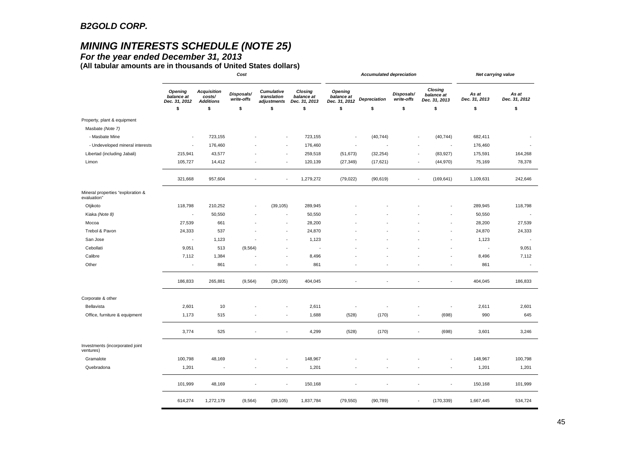# *MINING INTERESTS SCHEDULE (NOTE 25)*

*For the year ended December 31, 2013*

**(All tabular amounts are in thousands of United States dollars)**

|                                                  | Cost                                   |                                                  |                          |                                                 |                                        |                                               | <b>Accumulated depreciation</b> | Net carrying value       |                                               |                          |                        |
|--------------------------------------------------|----------------------------------------|--------------------------------------------------|--------------------------|-------------------------------------------------|----------------------------------------|-----------------------------------------------|---------------------------------|--------------------------|-----------------------------------------------|--------------------------|------------------------|
|                                                  | Opening<br>balance at<br>Dec. 31, 2012 | <b>Acquisition</b><br>costs/<br><b>Additions</b> | Disposals/<br>write-offs | <b>Cumulative</b><br>translation<br>adjustments | Closing<br>balance at<br>Dec. 31, 2013 | <b>Opening</b><br>balance at<br>Dec. 31, 2012 | <b>Depreciation</b>             | Disposals/<br>write-offs | <b>Closing</b><br>balance at<br>Dec. 31, 2013 | As at<br>Dec. 31, 2013   | As at<br>Dec. 31, 2012 |
|                                                  | \$                                     | \$                                               | \$                       | \$                                              | \$                                     | \$                                            | \$                              | \$                       | \$                                            | \$                       | \$                     |
| Property, plant & equipment                      |                                        |                                                  |                          |                                                 |                                        |                                               |                                 |                          |                                               |                          |                        |
| Masbate (Note 7)                                 |                                        |                                                  |                          |                                                 |                                        |                                               |                                 |                          |                                               |                          |                        |
| - Masbate Mine                                   | $\overline{\phantom{a}}$               | 723,155                                          |                          | ٠                                               | 723,155                                | $\overline{\phantom{a}}$                      | (40, 744)                       |                          | (40, 744)<br>٠                                | 682,411                  |                        |
| - Undeveloped mineral interests                  | ÷,                                     | 176,460                                          |                          |                                                 | 176,460                                |                                               |                                 |                          |                                               | 176,460                  |                        |
| Libertad (including Jabali)                      | 215,941                                | 43,577                                           |                          | $\ddot{\phantom{1}}$                            | 259,518                                | (51, 673)                                     | (32, 254)                       |                          | (83, 927)<br>$\ddot{\phantom{1}}$             | 175,591                  | 164,268                |
| Limon                                            | 105,727                                | 14,412                                           |                          | $\blacksquare$                                  | 120,139                                | (27, 349)                                     | (17, 621)                       |                          | (44, 970)<br>$\blacksquare$                   | 75,169                   | 78,378                 |
|                                                  | 321,668                                | 957,604                                          | ÷,                       |                                                 | 1,279,272                              | (79, 022)                                     | (90, 619)                       |                          | (169, 641)                                    | 1,109,631                | 242,646                |
| Mineral properties "exploration &<br>evaluation" |                                        |                                                  |                          |                                                 |                                        |                                               |                                 |                          |                                               |                          |                        |
| Otjikoto                                         | 118,798                                | 210,252                                          | ٠                        | (39, 105)                                       | 289,945                                |                                               |                                 |                          |                                               | 289,945                  | 118,798                |
| Kiaka (Note 8)                                   | $\overline{\phantom{a}}$               | 50,550                                           |                          | $\overline{\phantom{a}}$                        | 50,550                                 |                                               |                                 |                          |                                               | 50,550                   |                        |
| Mocoa                                            | 27,539                                 | 661                                              |                          | ÷,                                              | 28,200                                 |                                               |                                 |                          |                                               | 28,200                   | 27,539                 |
| Trebol & Pavon                                   | 24,333                                 | 537                                              |                          | $\blacksquare$                                  | 24,870                                 |                                               |                                 |                          |                                               | 24,870                   | 24,333                 |
| San Jose                                         | $\overline{\phantom{a}}$               | 1,123                                            |                          | $\ddot{\phantom{1}}$                            | 1,123                                  |                                               |                                 |                          |                                               | 1,123                    |                        |
| Cebollati                                        | 9,051                                  | 513                                              | (9, 564)                 | ٠                                               | $\overline{\phantom{a}}$               |                                               |                                 |                          |                                               | $\overline{\phantom{a}}$ | 9,051                  |
| Calibre                                          | 7,112                                  | 1,384                                            |                          | $\blacksquare$                                  | 8,496                                  |                                               |                                 |                          |                                               | 8,496                    | 7,112                  |
| Other                                            | $\sim$                                 | 861                                              |                          | $\blacksquare$                                  | 861                                    |                                               |                                 |                          |                                               | 861                      | $\sim$                 |
|                                                  | 186,833                                | 265,881                                          | (9, 564)                 | (39, 105)                                       | 404,045                                |                                               |                                 |                          |                                               | 404,045                  | 186,833                |
| Corporate & other                                |                                        |                                                  |                          |                                                 |                                        |                                               |                                 |                          |                                               |                          |                        |
| Bellavista                                       | 2,601                                  | 10                                               |                          | $\blacksquare$                                  | 2,611                                  |                                               |                                 |                          | $\overline{\phantom{a}}$                      | 2,611                    | 2,601                  |
| Office, furniture & equipment                    | 1,173                                  | 515                                              |                          | $\ddot{\phantom{1}}$                            | 1,688                                  | (528)                                         | (170)                           |                          | (698)<br>$\ddot{\phantom{1}}$                 | 990                      | 645                    |
|                                                  | 3,774                                  | 525                                              | $\ddot{\phantom{1}}$     | $\blacksquare$                                  | 4,299                                  | (528)                                         | (170)                           |                          | (698)<br>$\ddot{\phantom{1}}$                 | 3,601                    | 3,246                  |
| Investments (incorporated joint<br>ventures)     |                                        |                                                  |                          |                                                 |                                        |                                               |                                 |                          |                                               |                          |                        |
| Gramalote                                        | 100,798                                | 48,169                                           |                          |                                                 | 148,967                                |                                               |                                 |                          |                                               | 148,967                  | 100,798                |
| Quebradona                                       | 1,201                                  | $\overline{\phantom{a}}$                         | ٠                        | ٠                                               | 1,201                                  |                                               |                                 |                          |                                               | 1,201                    | 1,201                  |
|                                                  | 101,999                                | 48,169                                           | ٠                        | $\blacksquare$                                  | 150,168                                | ä,                                            |                                 |                          | $\sim$<br>$\sim$                              | 150,168                  | 101,999                |
|                                                  | 614,274                                | 1,272,179                                        | (9, 564)                 | (39, 105)                                       | 1,837,784                              | (79, 550)                                     | (90, 789)                       |                          | (170, 339)<br>$\blacksquare$                  | 1,667,445                | 534,724                |